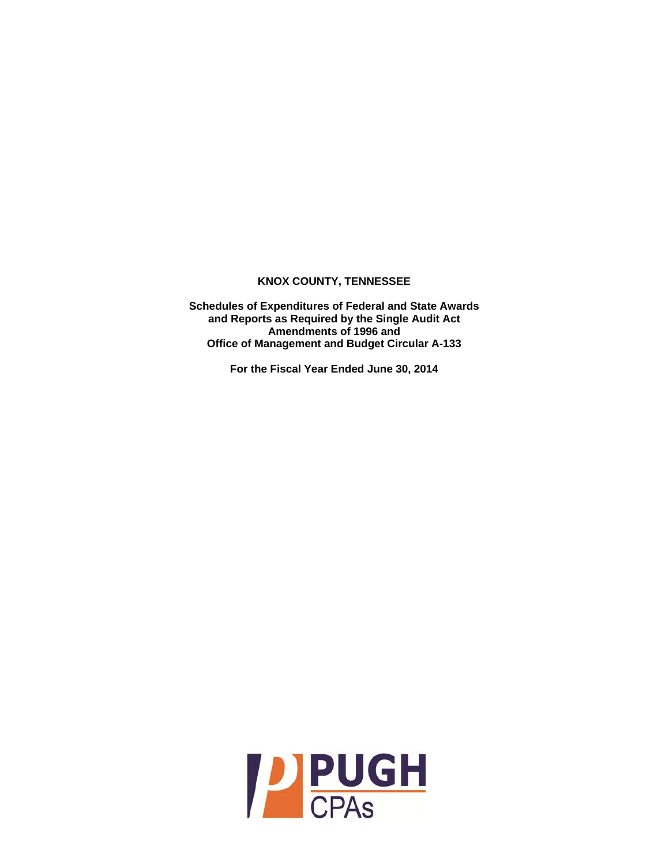**Schedules of Expenditures of Federal and State Awards and Reports as Required by the Single Audit Act Amendments of 1996 and Office of Management and Budget Circular A-133** 

**For the Fiscal Year Ended June 30, 2014** 

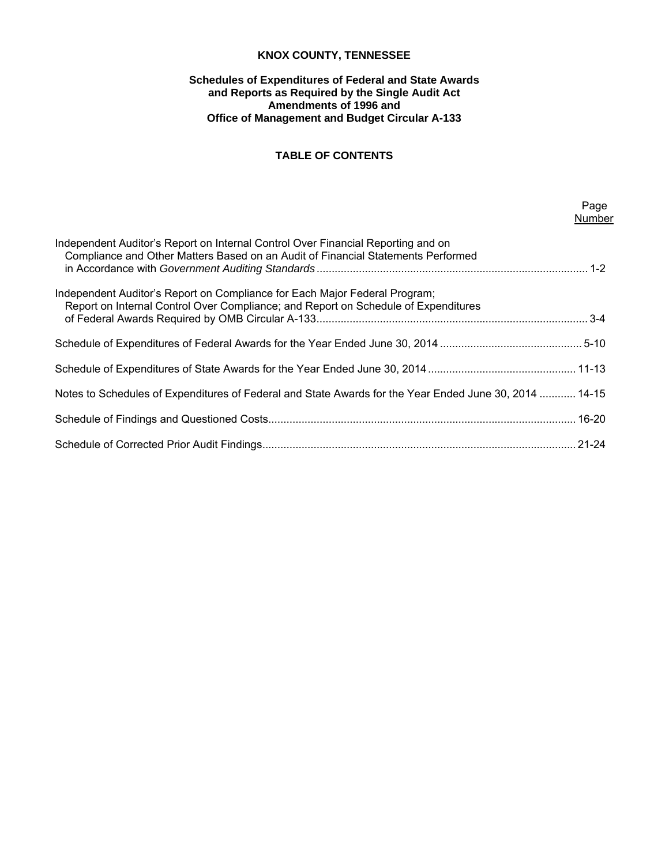## **Schedules of Expenditures of Federal and State Awards and Reports as Required by the Single Audit Act Amendments of 1996 and Office of Management and Budget Circular A-133**

# **TABLE OF CONTENTS**

Page

|                                                                                                                                                                      | Number |
|----------------------------------------------------------------------------------------------------------------------------------------------------------------------|--------|
| Independent Auditor's Report on Internal Control Over Financial Reporting and on<br>Compliance and Other Matters Based on an Audit of Financial Statements Performed |        |
| Independent Auditor's Report on Compliance for Each Major Federal Program;<br>Report on Internal Control Over Compliance; and Report on Schedule of Expenditures     |        |
|                                                                                                                                                                      |        |
|                                                                                                                                                                      |        |
| Notes to Schedules of Expenditures of Federal and State Awards for the Year Ended June 30, 2014  14-15                                                               |        |
|                                                                                                                                                                      |        |
|                                                                                                                                                                      |        |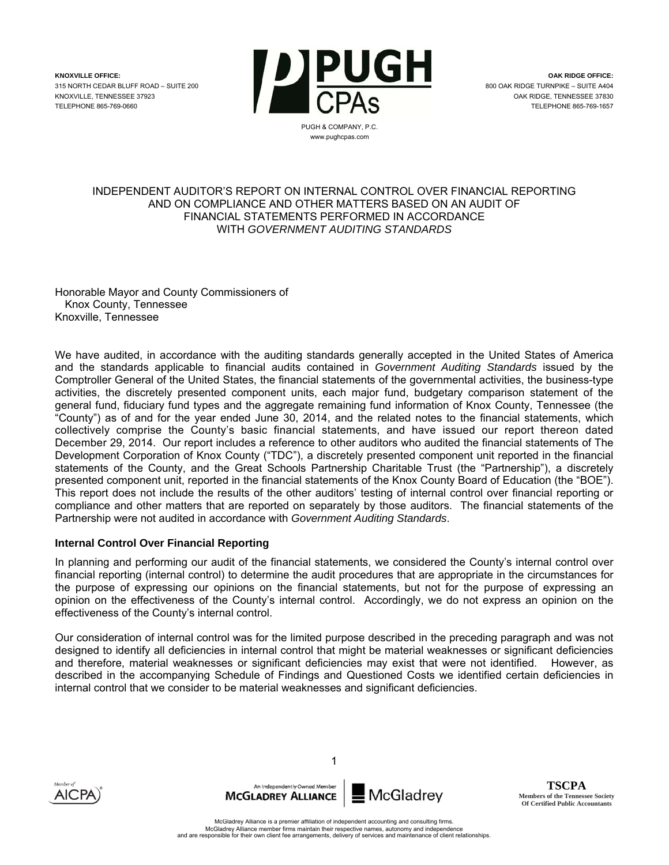

PUGH & COMPANY, P.C. www.pughcpas.com

### INDEPENDENT AUDITOR'S REPORT ON INTERNAL CONTROL OVER FINANCIAL REPORTING AND ON COMPLIANCE AND OTHER MATTERS BASED ON AN AUDIT OF FINANCIAL STATEMENTS PERFORMED IN ACCORDANCE WITH *GOVERNMENT AUDITING STANDARDS*

Honorable Mayor and County Commissioners of Knox County, Tennessee Knoxville, Tennessee

We have audited, in accordance with the auditing standards generally accepted in the United States of America and the standards applicable to financial audits contained in *Government Auditing Standards* issued by the Comptroller General of the United States, the financial statements of the governmental activities, the business-type activities, the discretely presented component units, each major fund, budgetary comparison statement of the general fund, fiduciary fund types and the aggregate remaining fund information of Knox County, Tennessee (the "County") as of and for the year ended June 30, 2014, and the related notes to the financial statements, which collectively comprise the County's basic financial statements, and have issued our report thereon dated December 29, 2014. Our report includes a reference to other auditors who audited the financial statements of The Development Corporation of Knox County ("TDC"), a discretely presented component unit reported in the financial statements of the County, and the Great Schools Partnership Charitable Trust (the "Partnership"), a discretely presented component unit, reported in the financial statements of the Knox County Board of Education (the "BOE"). This report does not include the results of the other auditors' testing of internal control over financial reporting or compliance and other matters that are reported on separately by those auditors. The financial statements of the Partnership were not audited in accordance with *Government Auditing Standards*.

## **Internal Control Over Financial Reporting**

In planning and performing our audit of the financial statements, we considered the County's internal control over financial reporting (internal control) to determine the audit procedures that are appropriate in the circumstances for the purpose of expressing our opinions on the financial statements, but not for the purpose of expressing an opinion on the effectiveness of the County's internal control. Accordingly, we do not express an opinion on the effectiveness of the County's internal control.

Our consideration of internal control was for the limited purpose described in the preceding paragraph and was not designed to identify all deficiencies in internal control that might be material weaknesses or significant deficiencies and therefore, material weaknesses or significant deficiencies may exist that were not identified. However, as described in the accompanying Schedule of Findings and Questioned Costs we identified certain deficiencies in internal control that we consider to be material weaknesses and significant deficiencies.







**TSCPA Members of the Tennessee Society Of Certified Public Accountants**

1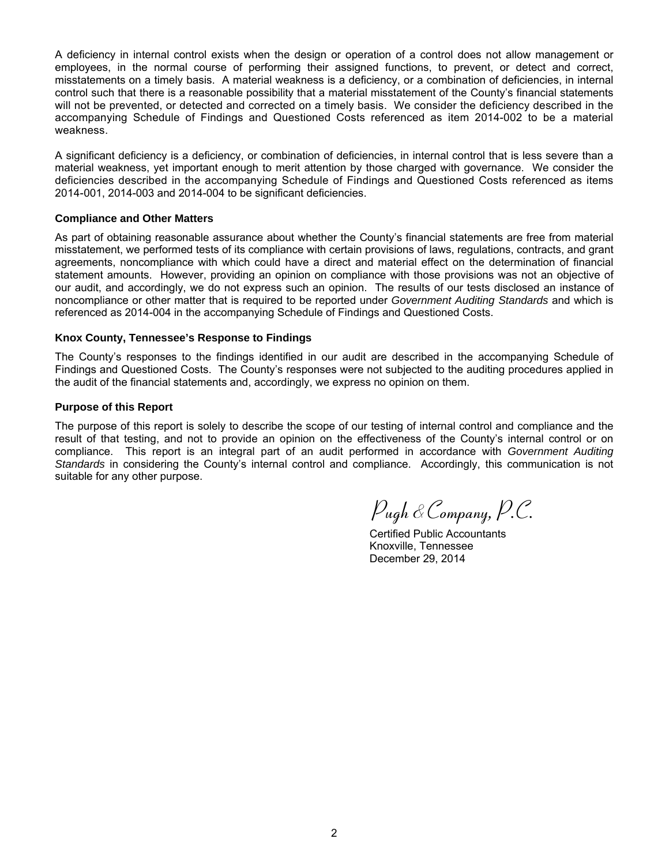A deficiency in internal control exists when the design or operation of a control does not allow management or employees, in the normal course of performing their assigned functions, to prevent, or detect and correct, misstatements on a timely basis. A material weakness is a deficiency, or a combination of deficiencies, in internal control such that there is a reasonable possibility that a material misstatement of the County's financial statements will not be prevented, or detected and corrected on a timely basis. We consider the deficiency described in the accompanying Schedule of Findings and Questioned Costs referenced as item 2014-002 to be a material weakness.

A significant deficiency is a deficiency, or combination of deficiencies, in internal control that is less severe than a material weakness, yet important enough to merit attention by those charged with governance. We consider the deficiencies described in the accompanying Schedule of Findings and Questioned Costs referenced as items 2014-001, 2014-003 and 2014-004 to be significant deficiencies.

## **Compliance and Other Matters**

As part of obtaining reasonable assurance about whether the County's financial statements are free from material misstatement, we performed tests of its compliance with certain provisions of laws, regulations, contracts, and grant agreements, noncompliance with which could have a direct and material effect on the determination of financial statement amounts. However, providing an opinion on compliance with those provisions was not an objective of our audit, and accordingly, we do not express such an opinion. The results of our tests disclosed an instance of noncompliance or other matter that is required to be reported under *Government Auditing Standards* and which is referenced as 2014-004 in the accompanying Schedule of Findings and Questioned Costs.

## **Knox County, Tennessee's Response to Findings**

The County's responses to the findings identified in our audit are described in the accompanying Schedule of Findings and Questioned Costs. The County's responses were not subjected to the auditing procedures applied in the audit of the financial statements and, accordingly, we express no opinion on them.

## **Purpose of this Report**

The purpose of this report is solely to describe the scope of our testing of internal control and compliance and the result of that testing, and not to provide an opinion on the effectiveness of the County's internal control or on compliance. This report is an integral part of an audit performed in accordance with *Government Auditing Standards* in considering the County's internal control and compliance. Accordingly, this communication is not suitable for any other purpose.

 *Pugh* &*Company, P.C.*

 Certified Public Accountants Knoxville, Tennessee December 29, 2014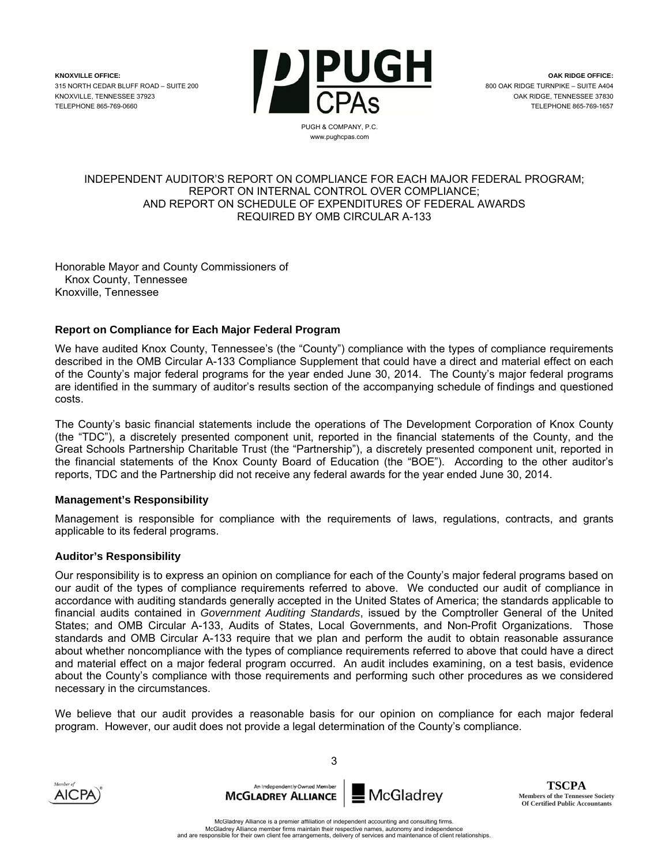

www.pughcpas.com

INDEPENDENT AUDITOR'S REPORT ON COMPLIANCE FOR EACH MAJOR FEDERAL PROGRAM; REPORT ON INTERNAL CONTROL OVER COMPLIANCE;

AND REPORT ON SCHEDULE OF EXPENDITURES OF FEDERAL AWARDS REQUIRED BY OMB CIRCULAR A-133

Honorable Mayor and County Commissioners of Knox County, Tennessee Knoxville, Tennessee

## **Report on Compliance for Each Major Federal Program**

We have audited Knox County, Tennessee's (the "County") compliance with the types of compliance requirements described in the OMB Circular A-133 Compliance Supplement that could have a direct and material effect on each of the County's major federal programs for the year ended June 30, 2014. The County's major federal programs are identified in the summary of auditor's results section of the accompanying schedule of findings and questioned costs.

The County's basic financial statements include the operations of The Development Corporation of Knox County (the "TDC"), a discretely presented component unit, reported in the financial statements of the County, and the Great Schools Partnership Charitable Trust (the "Partnership"), a discretely presented component unit, reported in the financial statements of the Knox County Board of Education (the "BOE"). According to the other auditor's reports, TDC and the Partnership did not receive any federal awards for the year ended June 30, 2014.

## **Management's Responsibility**

Management is responsible for compliance with the requirements of laws, regulations, contracts, and grants applicable to its federal programs.

## **Auditor's Responsibility**

Our responsibility is to express an opinion on compliance for each of the County's major federal programs based on our audit of the types of compliance requirements referred to above. We conducted our audit of compliance in accordance with auditing standards generally accepted in the United States of America; the standards applicable to financial audits contained in *Government Auditing Standards*, issued by the Comptroller General of the United States; and OMB Circular A-133, Audits of States, Local Governments, and Non-Profit Organizations. Those standards and OMB Circular A-133 require that we plan and perform the audit to obtain reasonable assurance about whether noncompliance with the types of compliance requirements referred to above that could have a direct and material effect on a major federal program occurred. An audit includes examining, on a test basis, evidence about the County's compliance with those requirements and performing such other procedures as we considered necessary in the circumstances.

We believe that our audit provides a reasonable basis for our opinion on compliance for each major federal program. However, our audit does not provide a legal determination of the County's compliance.

3







**TSCPA Members of the Tennessee Society Of Certified Public Accountants**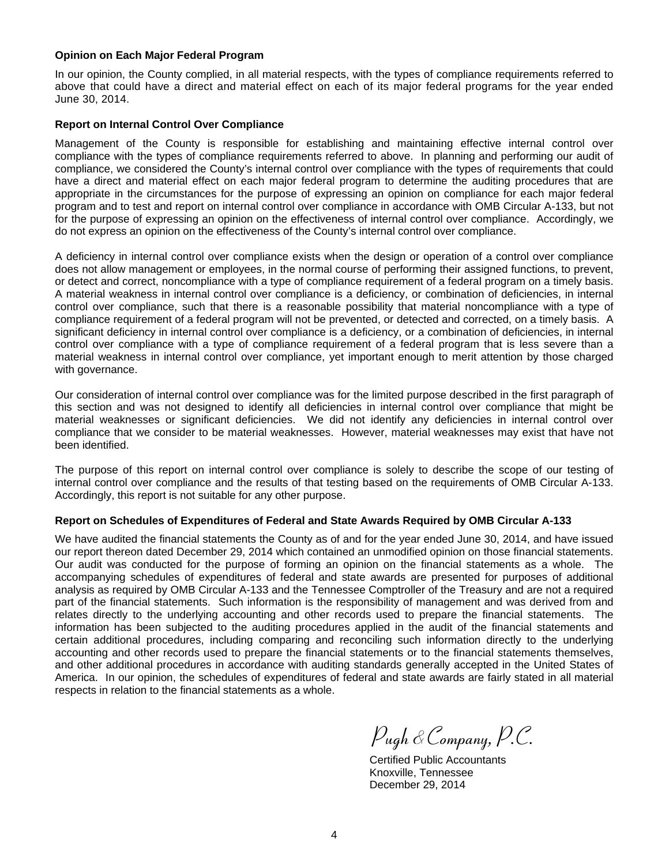### **Opinion on Each Major Federal Program**

In our opinion, the County complied, in all material respects, with the types of compliance requirements referred to above that could have a direct and material effect on each of its major federal programs for the year ended June 30, 2014.

### **Report on Internal Control Over Compliance**

Management of the County is responsible for establishing and maintaining effective internal control over compliance with the types of compliance requirements referred to above. In planning and performing our audit of compliance, we considered the County's internal control over compliance with the types of requirements that could have a direct and material effect on each major federal program to determine the auditing procedures that are appropriate in the circumstances for the purpose of expressing an opinion on compliance for each major federal program and to test and report on internal control over compliance in accordance with OMB Circular A-133, but not for the purpose of expressing an opinion on the effectiveness of internal control over compliance. Accordingly, we do not express an opinion on the effectiveness of the County's internal control over compliance.

A deficiency in internal control over compliance exists when the design or operation of a control over compliance does not allow management or employees, in the normal course of performing their assigned functions, to prevent, or detect and correct, noncompliance with a type of compliance requirement of a federal program on a timely basis. A material weakness in internal control over compliance is a deficiency, or combination of deficiencies, in internal control over compliance, such that there is a reasonable possibility that material noncompliance with a type of compliance requirement of a federal program will not be prevented, or detected and corrected, on a timely basis. A significant deficiency in internal control over compliance is a deficiency, or a combination of deficiencies, in internal control over compliance with a type of compliance requirement of a federal program that is less severe than a material weakness in internal control over compliance, yet important enough to merit attention by those charged with governance.

Our consideration of internal control over compliance was for the limited purpose described in the first paragraph of this section and was not designed to identify all deficiencies in internal control over compliance that might be material weaknesses or significant deficiencies. We did not identify any deficiencies in internal control over compliance that we consider to be material weaknesses. However, material weaknesses may exist that have not been identified.

The purpose of this report on internal control over compliance is solely to describe the scope of our testing of internal control over compliance and the results of that testing based on the requirements of OMB Circular A-133. Accordingly, this report is not suitable for any other purpose.

## **Report on Schedules of Expenditures of Federal and State Awards Required by OMB Circular A-133**

We have audited the financial statements the County as of and for the year ended June 30, 2014, and have issued our report thereon dated December 29, 2014 which contained an unmodified opinion on those financial statements. Our audit was conducted for the purpose of forming an opinion on the financial statements as a whole. The accompanying schedules of expenditures of federal and state awards are presented for purposes of additional analysis as required by OMB Circular A-133 and the Tennessee Comptroller of the Treasury and are not a required part of the financial statements. Such information is the responsibility of management and was derived from and relates directly to the underlying accounting and other records used to prepare the financial statements. The information has been subjected to the auditing procedures applied in the audit of the financial statements and certain additional procedures, including comparing and reconciling such information directly to the underlying accounting and other records used to prepare the financial statements or to the financial statements themselves, and other additional procedures in accordance with auditing standards generally accepted in the United States of America. In our opinion, the schedules of expenditures of federal and state awards are fairly stated in all material respects in relation to the financial statements as a whole.

 *Pugh* &*Company, P.C.*

Certified Public Accountants Knoxville, Tennessee December 29, 2014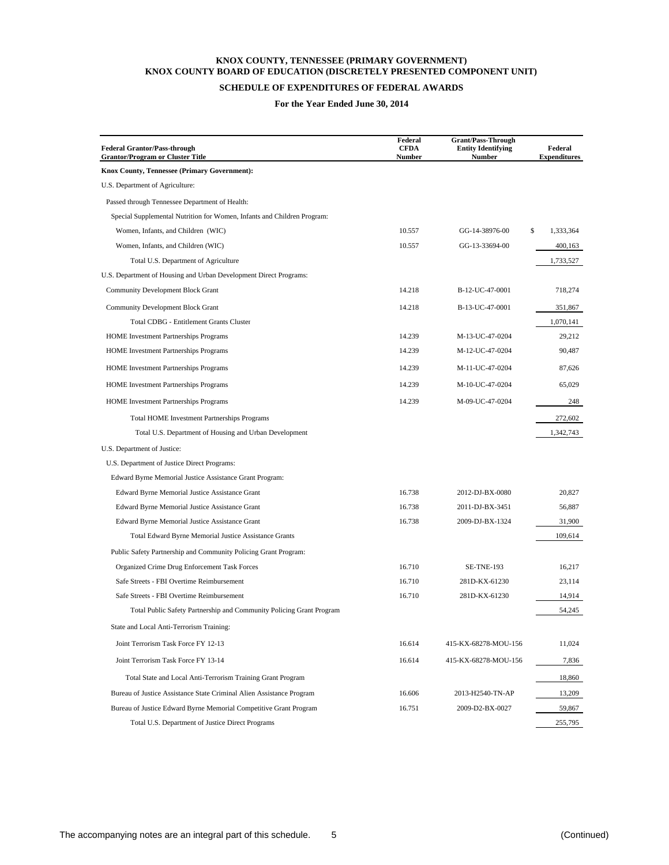### **SCHEDULE OF EXPENDITURES OF FEDERAL AWARDS**

| <b>Federal Grantor/Pass-through</b><br><b>Grantor/Program or Cluster Title</b> | Federal<br><b>CFDA</b><br><b>Number</b> | <b>Grant/Pass-Through</b><br><b>Entity Identifying</b><br><b>Number</b> | Federal<br><b>Expenditures</b> |
|--------------------------------------------------------------------------------|-----------------------------------------|-------------------------------------------------------------------------|--------------------------------|
| Knox County, Tennessee (Primary Government):                                   |                                         |                                                                         |                                |
| U.S. Department of Agriculture:                                                |                                         |                                                                         |                                |
| Passed through Tennessee Department of Health:                                 |                                         |                                                                         |                                |
| Special Supplemental Nutrition for Women, Infants and Children Program:        |                                         |                                                                         |                                |
| Women, Infants, and Children (WIC)                                             | 10.557                                  | GG-14-38976-00                                                          | \$<br>1,333,364                |
| Women, Infants, and Children (WIC)                                             | 10.557                                  | GG-13-33694-00                                                          | 400,163                        |
| Total U.S. Department of Agriculture                                           |                                         |                                                                         | 1,733,527                      |
| U.S. Department of Housing and Urban Development Direct Programs:              |                                         |                                                                         |                                |
| <b>Community Development Block Grant</b>                                       | 14.218                                  | B-12-UC-47-0001                                                         | 718,274                        |
| Community Development Block Grant                                              | 14.218                                  | B-13-UC-47-0001                                                         | 351,867                        |
| Total CDBG - Entitlement Grants Cluster                                        |                                         |                                                                         | 1,070,141                      |
| HOME Investment Partnerships Programs                                          | 14.239                                  | M-13-UC-47-0204                                                         | 29,212                         |
| <b>HOME</b> Investment Partnerships Programs                                   | 14.239                                  | M-12-UC-47-0204                                                         | 90,487                         |
| HOME Investment Partnerships Programs                                          | 14.239                                  | M-11-UC-47-0204                                                         | 87,626                         |
| <b>HOME</b> Investment Partnerships Programs                                   | 14.239                                  | M-10-UC-47-0204                                                         | 65,029                         |
| <b>HOME</b> Investment Partnerships Programs                                   | 14.239                                  | M-09-UC-47-0204                                                         | 248                            |
| <b>Total HOME Investment Partnerships Programs</b>                             |                                         |                                                                         | 272,602                        |
| Total U.S. Department of Housing and Urban Development                         |                                         |                                                                         | 1,342,743                      |
| U.S. Department of Justice:                                                    |                                         |                                                                         |                                |
| U.S. Department of Justice Direct Programs:                                    |                                         |                                                                         |                                |
| Edward Byrne Memorial Justice Assistance Grant Program:                        |                                         |                                                                         |                                |
| Edward Byrne Memorial Justice Assistance Grant                                 | 16.738                                  | 2012-DJ-BX-0080                                                         | 20,827                         |
| Edward Byrne Memorial Justice Assistance Grant                                 | 16.738                                  | 2011-DJ-BX-3451                                                         | 56,887                         |
| Edward Byrne Memorial Justice Assistance Grant                                 | 16.738                                  | 2009-DJ-BX-1324                                                         | 31,900                         |
| Total Edward Byrne Memorial Justice Assistance Grants                          |                                         |                                                                         | 109,614                        |
| Public Safety Partnership and Community Policing Grant Program:                |                                         |                                                                         |                                |
| Organized Crime Drug Enforcement Task Forces                                   | 16.710                                  | <b>SE-TNE-193</b>                                                       | 16.217                         |
| Safe Streets - FBI Overtime Reimbursement                                      | 16.710                                  | 281D-KX-61230                                                           | 23.114                         |
| Safe Streets - FBI Overtime Reimbursement                                      | 16.710                                  | 281D-KX-61230                                                           | 14,914                         |
| Total Public Safety Partnership and Community Policing Grant Program           |                                         |                                                                         | 54,245                         |
| State and Local Anti-Terrorism Training:                                       |                                         |                                                                         |                                |
| Joint Terrorism Task Force FY 12-13                                            | 16.614                                  | 415-KX-68278-MOU-156                                                    | 11,024                         |
| Joint Terrorism Task Force FY 13-14                                            | 16.614                                  | 415-KX-68278-MOU-156                                                    | 7,836                          |
| Total State and Local Anti-Terrorism Training Grant Program                    |                                         |                                                                         | 18,860                         |
| Bureau of Justice Assistance State Criminal Alien Assistance Program           | 16.606                                  | 2013-H2540-TN-AP                                                        | 13,209                         |
| Bureau of Justice Edward Byrne Memorial Competitive Grant Program              | 16.751                                  | 2009-D2-BX-0027                                                         | 59,867                         |
| Total U.S. Department of Justice Direct Programs                               |                                         |                                                                         | 255,795                        |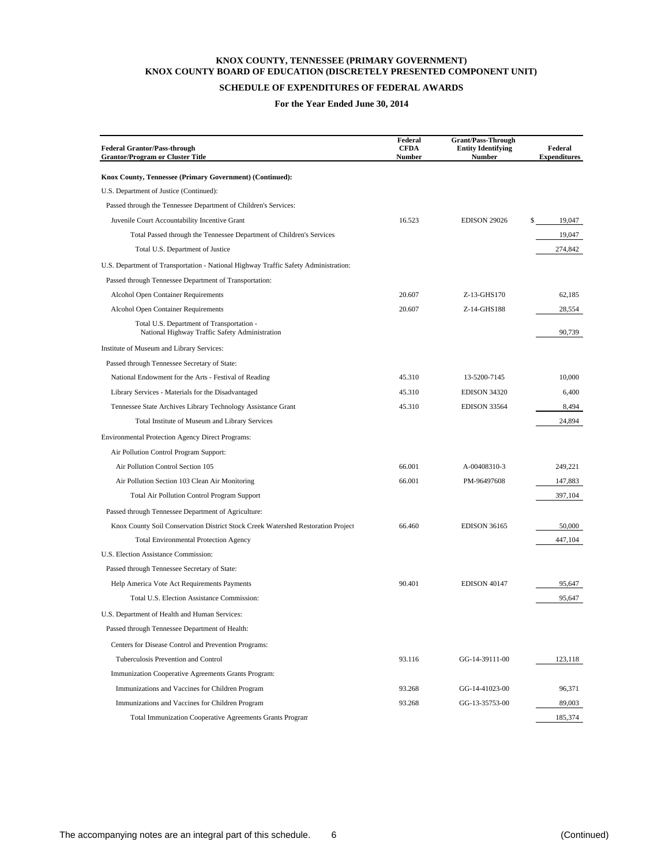### **SCHEDULE OF EXPENDITURES OF FEDERAL AWARDS**

| <b>Federal Grantor/Pass-through</b><br><b>Grantor/Program or Cluster Title</b>              | Federal<br><b>CFDA</b><br><b>Number</b> | <b>Grant/Pass-Through</b><br><b>Entity Identifying</b><br><b>Number</b> | Federal<br><b>Expenditures</b> |
|---------------------------------------------------------------------------------------------|-----------------------------------------|-------------------------------------------------------------------------|--------------------------------|
| Knox County, Tennessee (Primary Government) (Continued):                                    |                                         |                                                                         |                                |
| U.S. Department of Justice (Continued):                                                     |                                         |                                                                         |                                |
| Passed through the Tennessee Department of Children's Services:                             |                                         |                                                                         |                                |
| Juvenile Court Accountability Incentive Grant                                               | 16.523                                  | EDISON 29026                                                            | \$<br>19,047                   |
| Total Passed through the Tennessee Department of Children's Services                        |                                         |                                                                         | 19,047                         |
| Total U.S. Department of Justice                                                            |                                         |                                                                         | 274,842                        |
| U.S. Department of Transportation - National Highway Traffic Safety Administration:         |                                         |                                                                         |                                |
| Passed through Tennessee Department of Transportation:                                      |                                         |                                                                         |                                |
| Alcohol Open Container Requirements                                                         | 20.607                                  | Z-13-GHS170                                                             | 62,185                         |
| Alcohol Open Container Requirements                                                         | 20.607                                  | Z-14-GHS188                                                             | 28,554                         |
| Total U.S. Department of Transportation -<br>National Highway Traffic Safety Administration |                                         |                                                                         | 90,739                         |
| Institute of Museum and Library Services:                                                   |                                         |                                                                         |                                |
| Passed through Tennessee Secretary of State:                                                |                                         |                                                                         |                                |
| National Endowment for the Arts - Festival of Reading                                       | 45.310                                  | 13-5200-7145                                                            | 10,000                         |
| Library Services - Materials for the Disadvantaged                                          | 45.310                                  | EDISON 34320                                                            | 6,400                          |
| Tennessee State Archives Library Technology Assistance Grant                                | 45.310                                  | <b>EDISON 33564</b>                                                     | 8,494                          |
| Total Institute of Museum and Library Services                                              |                                         |                                                                         | 24,894                         |
| Environmental Protection Agency Direct Programs:                                            |                                         |                                                                         |                                |
| Air Pollution Control Program Support:                                                      |                                         |                                                                         |                                |
| Air Pollution Control Section 105                                                           | 66.001                                  | A-00408310-3                                                            | 249,221                        |
| Air Pollution Section 103 Clean Air Monitoring                                              | 66.001                                  | PM-96497608                                                             | 147,883                        |
| Total Air Pollution Control Program Support                                                 |                                         |                                                                         | 397,104                        |
| Passed through Tennessee Department of Agriculture:                                         |                                         |                                                                         |                                |
| Knox County Soil Conservation District Stock Creek Watershed Restoration Project            | 66.460                                  | <b>EDISON 36165</b>                                                     | 50,000                         |
| <b>Total Environmental Protection Agency</b>                                                |                                         |                                                                         | 447,104                        |
| U.S. Election Assistance Commission:                                                        |                                         |                                                                         |                                |
| Passed through Tennessee Secretary of State:                                                |                                         |                                                                         |                                |
| Help America Vote Act Requirements Payments                                                 | 90.401                                  | <b>EDISON 40147</b>                                                     | 95,647                         |
| Total U.S. Election Assistance Commission:                                                  |                                         |                                                                         | 95,647                         |
| U.S. Department of Health and Human Services:                                               |                                         |                                                                         |                                |
| Passed through Tennessee Department of Health:                                              |                                         |                                                                         |                                |
| Centers for Disease Control and Prevention Programs:                                        |                                         |                                                                         |                                |
| Tuberculosis Prevention and Control                                                         | 93.116                                  | GG-14-39111-00                                                          | 123,118                        |
| Immunization Cooperative Agreements Grants Program:                                         |                                         |                                                                         |                                |
| Immunizations and Vaccines for Children Program                                             | 93.268                                  | GG-14-41023-00                                                          | 96,371                         |
| Immunizations and Vaccines for Children Program                                             | 93.268                                  | GG-13-35753-00                                                          | 89,003                         |
| Total Immunization Cooperative Agreements Grants Program                                    |                                         |                                                                         | 185,374                        |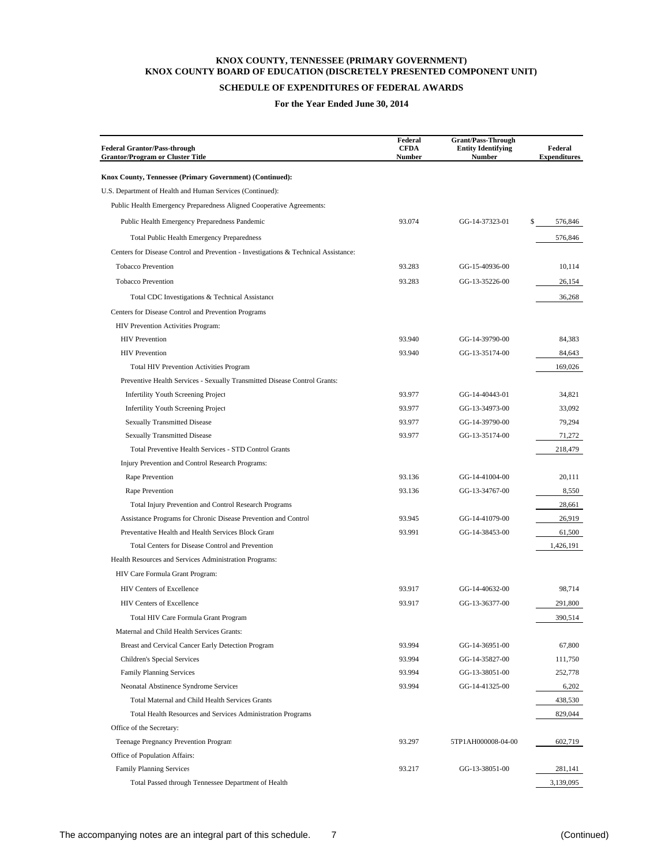### **SCHEDULE OF EXPENDITURES OF FEDERAL AWARDS**

| <b>Federal Grantor/Pass-through</b><br><b>Grantor/Program or Cluster Title</b>      | Federal<br><b>CFDA</b><br><b>Number</b> | <b>Grant/Pass-Through</b><br><b>Entity Identifying</b><br><b>Number</b> | Federal<br><b>Expenditures</b> |
|-------------------------------------------------------------------------------------|-----------------------------------------|-------------------------------------------------------------------------|--------------------------------|
| Knox County, Tennessee (Primary Government) (Continued):                            |                                         |                                                                         |                                |
| U.S. Department of Health and Human Services (Continued):                           |                                         |                                                                         |                                |
| Public Health Emergency Preparedness Aligned Cooperative Agreements:                |                                         |                                                                         |                                |
| Public Health Emergency Preparedness Pandemic                                       | 93.074                                  | GG-14-37323-01                                                          | \$<br>576,846                  |
|                                                                                     |                                         |                                                                         |                                |
| Total Public Health Emergency Preparedness                                          |                                         |                                                                         | 576,846                        |
| Centers for Disease Control and Prevention - Investigations & Technical Assistance: |                                         |                                                                         |                                |
| <b>Tobacco Prevention</b>                                                           | 93.283                                  | GG-15-40936-00                                                          | 10,114                         |
| <b>Tobacco Prevention</b>                                                           | 93.283                                  | GG-13-35226-00                                                          | 26,154                         |
| Total CDC Investigations & Technical Assistance                                     |                                         |                                                                         | 36,268                         |
| Centers for Disease Control and Prevention Programs                                 |                                         |                                                                         |                                |
| HIV Prevention Activities Program:                                                  |                                         |                                                                         |                                |
| <b>HIV</b> Prevention                                                               | 93.940                                  | GG-14-39790-00                                                          | 84,383                         |
| <b>HIV</b> Prevention                                                               | 93.940                                  | GG-13-35174-00                                                          | 84,643                         |
| Total HIV Prevention Activities Program                                             |                                         |                                                                         | 169,026                        |
| Preventive Health Services - Sexually Transmitted Disease Control Grants:           |                                         |                                                                         |                                |
| <b>Infertility Youth Screening Project</b>                                          | 93.977                                  | GG-14-40443-01                                                          | 34,821                         |
| Infertility Youth Screening Project                                                 | 93.977                                  | GG-13-34973-00                                                          | 33,092                         |
| <b>Sexually Transmitted Disease</b>                                                 | 93.977                                  | GG-14-39790-00                                                          | 79,294                         |
| <b>Sexually Transmitted Disease</b>                                                 | 93.977                                  | GG-13-35174-00                                                          | 71,272                         |
| Total Preventive Health Services - STD Control Grants                               |                                         |                                                                         | 218,479                        |
| Injury Prevention and Control Research Programs:                                    |                                         |                                                                         |                                |
| Rape Prevention                                                                     | 93.136                                  | GG-14-41004-00                                                          | 20,111                         |
| Rape Prevention                                                                     | 93.136                                  | GG-13-34767-00                                                          | 8,550                          |
| Total Injury Prevention and Control Research Programs                               |                                         |                                                                         | 28,661                         |
| Assistance Programs for Chronic Disease Prevention and Control                      | 93.945                                  | GG-14-41079-00                                                          | 26,919                         |
| Preventative Health and Health Services Block Grant                                 | 93.991                                  | GG-14-38453-00                                                          | 61,500                         |
| Total Centers for Disease Control and Prevention                                    |                                         |                                                                         | 1,426,191                      |
| Health Resources and Services Administration Programs:                              |                                         |                                                                         |                                |
| HIV Care Formula Grant Program:                                                     |                                         |                                                                         |                                |
| <b>HIV Centers of Excellence</b>                                                    | 93.917                                  | GG-14-40632-00                                                          | 98,714                         |
| <b>HIV Centers of Excellence</b>                                                    | 93.917                                  | GG-13-36377-00                                                          | 291,800                        |
| Total HIV Care Formula Grant Program                                                |                                         |                                                                         | 390,514                        |
| Maternal and Child Health Services Grants:                                          |                                         |                                                                         |                                |
| Breast and Cervical Cancer Early Detection Program                                  | 93.994                                  | GG-14-36951-00                                                          | 67,800                         |
| Children's Special Services                                                         | 93.994                                  | GG-14-35827-00                                                          | 111,750                        |
| <b>Family Planning Services</b>                                                     | 93.994                                  | GG-13-38051-00                                                          | 252,778                        |
| Neonatal Abstinence Syndrome Services                                               | 93.994                                  | GG-14-41325-00                                                          | 6,202                          |
| Total Maternal and Child Health Services Grants                                     |                                         |                                                                         | 438,530                        |
| Total Health Resources and Services Administration Programs                         |                                         |                                                                         | 829,044                        |
| Office of the Secretary:                                                            |                                         |                                                                         |                                |
| Teenage Pregnancy Prevention Program                                                | 93.297                                  | 5TP1AH000008-04-00                                                      | 602,719                        |
| Office of Population Affairs:                                                       |                                         |                                                                         |                                |
| Family Planning Services                                                            | 93.217                                  | GG-13-38051-00                                                          | 281,141                        |
| Total Passed through Tennessee Department of Health                                 |                                         |                                                                         | 3,139,095                      |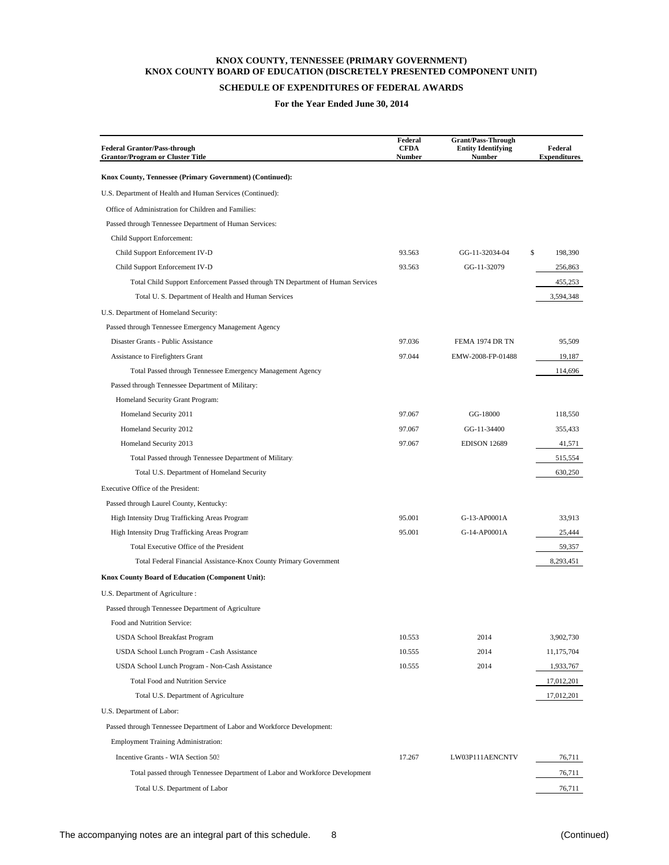### **SCHEDULE OF EXPENDITURES OF FEDERAL AWARDS**

| <b>Federal Grantor/Pass-through</b><br><b>Grantor/Program or Cluster Title</b> | Federal<br><b>CFDA</b><br><b>Number</b> | <b>Grant/Pass-Through</b><br><b>Entity Identifying</b><br><b>Number</b> | Federal<br><b>Expenditures</b> |         |
|--------------------------------------------------------------------------------|-----------------------------------------|-------------------------------------------------------------------------|--------------------------------|---------|
| Knox County, Tennessee (Primary Government) (Continued):                       |                                         |                                                                         |                                |         |
| U.S. Department of Health and Human Services (Continued):                      |                                         |                                                                         |                                |         |
| Office of Administration for Children and Families:                            |                                         |                                                                         |                                |         |
| Passed through Tennessee Department of Human Services:                         |                                         |                                                                         |                                |         |
| Child Support Enforcement:                                                     |                                         |                                                                         |                                |         |
| Child Support Enforcement IV-D                                                 | 93.563                                  | GG-11-32034-04                                                          | \$                             | 198,390 |
| Child Support Enforcement IV-D                                                 | 93.563                                  | GG-11-32079                                                             |                                | 256,863 |
| Total Child Support Enforcement Passed through TN Department of Human Services |                                         |                                                                         |                                | 455,253 |
| Total U.S. Department of Health and Human Services                             |                                         |                                                                         | 3,594,348                      |         |
| U.S. Department of Homeland Security:                                          |                                         |                                                                         |                                |         |
| Passed through Tennessee Emergency Management Agency                           |                                         |                                                                         |                                |         |
| Disaster Grants - Public Assistance                                            | 97.036                                  | FEMA 1974 DR TN                                                         |                                | 95,509  |
| Assistance to Firefighters Grant                                               | 97.044                                  | EMW-2008-FP-01488                                                       |                                | 19,187  |
| Total Passed through Tennessee Emergency Management Agency                     |                                         |                                                                         |                                | 114,696 |
| Passed through Tennessee Department of Military:                               |                                         |                                                                         |                                |         |
| Homeland Security Grant Program:                                               |                                         |                                                                         |                                |         |
| Homeland Security 2011                                                         | 97.067                                  | GG-18000                                                                |                                | 118,550 |
| Homeland Security 2012                                                         | 97.067                                  | GG-11-34400                                                             |                                | 355,433 |
| Homeland Security 2013                                                         | 97.067                                  | <b>EDISON 12689</b>                                                     |                                | 41,571  |
| Total Passed through Tennessee Department of Military:                         |                                         |                                                                         |                                | 515,554 |
| Total U.S. Department of Homeland Security                                     |                                         |                                                                         |                                | 630,250 |
| Executive Office of the President:                                             |                                         |                                                                         |                                |         |
| Passed through Laurel County, Kentucky:                                        |                                         |                                                                         |                                |         |
| High Intensity Drug Trafficking Areas Program                                  | 95.001                                  | G-13-AP0001A                                                            |                                | 33,913  |
| High Intensity Drug Trafficking Areas Program                                  | 95.001                                  | G-14-AP0001A                                                            |                                | 25,444  |
| Total Executive Office of the President                                        |                                         |                                                                         |                                | 59,357  |
| Total Federal Financial Assistance-Knox County Primary Government              |                                         |                                                                         | 8,293,451                      |         |
| Knox County Board of Education (Component Unit):                               |                                         |                                                                         |                                |         |
| U.S. Department of Agriculture :                                               |                                         |                                                                         |                                |         |
| Passed through Tennessee Department of Agriculture                             |                                         |                                                                         |                                |         |
| Food and Nutrition Service:                                                    |                                         |                                                                         |                                |         |
| <b>USDA School Breakfast Program</b>                                           | 10.553                                  | 2014                                                                    | 3,902,730                      |         |
| USDA School Lunch Program - Cash Assistance                                    | 10.555                                  | 2014                                                                    | 11,175,704                     |         |
| USDA School Lunch Program - Non-Cash Assistance                                | 10.555                                  | 2014                                                                    | 1,933,767                      |         |
| Total Food and Nutrition Service                                               |                                         |                                                                         | 17,012,201                     |         |
| Total U.S. Department of Agriculture                                           |                                         |                                                                         | 17,012,201                     |         |
| U.S. Department of Labor:                                                      |                                         |                                                                         |                                |         |
| Passed through Tennessee Department of Labor and Workforce Development:        |                                         |                                                                         |                                |         |
| <b>Employment Training Administration:</b>                                     |                                         |                                                                         |                                |         |
| Incentive Grants - WIA Section 503                                             | 17.267                                  | LW03P111AENCNTV                                                         |                                | 76,711  |
| Total passed through Tennessee Department of Labor and Workforce Development   |                                         |                                                                         |                                | 76,711  |
| Total U.S. Department of Labor                                                 |                                         |                                                                         |                                | 76,711  |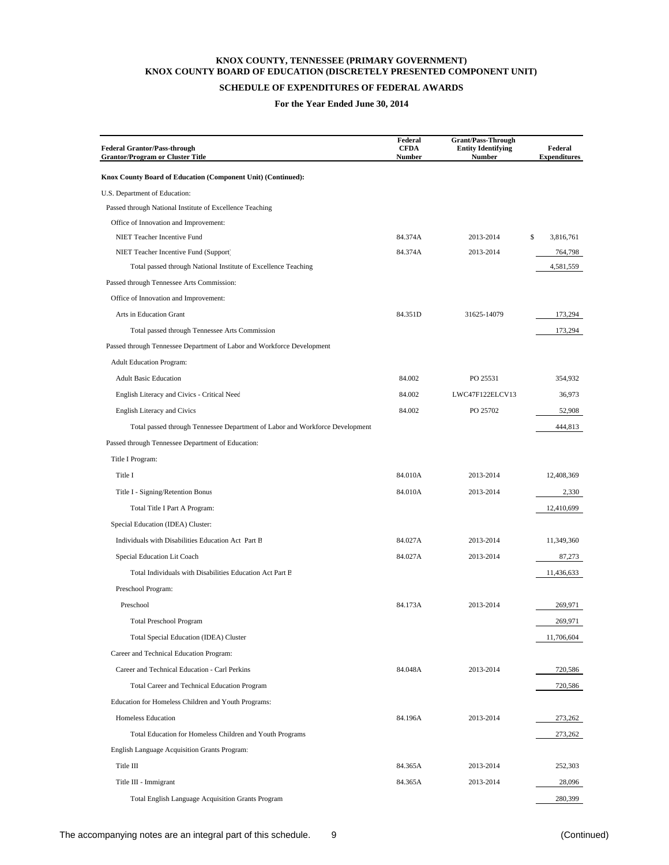### **SCHEDULE OF EXPENDITURES OF FEDERAL AWARDS**

| <b>Federal Grantor/Pass-through</b><br><b>Grantor/Program or Cluster Title</b> | Federal<br><b>CFDA</b><br><b>Number</b> | <b>Grant/Pass-Through</b><br><b>Entity Identifying</b><br><b>Number</b> | Federal<br><b>Expenditures</b> |
|--------------------------------------------------------------------------------|-----------------------------------------|-------------------------------------------------------------------------|--------------------------------|
| Knox County Board of Education (Component Unit) (Continued):                   |                                         |                                                                         |                                |
| U.S. Department of Education:                                                  |                                         |                                                                         |                                |
| Passed through National Institute of Excellence Teaching                       |                                         |                                                                         |                                |
| Office of Innovation and Improvement:                                          |                                         |                                                                         |                                |
| NIET Teacher Incentive Fund                                                    | 84.374A                                 | 2013-2014                                                               | \$<br>3,816,761                |
| NIET Teacher Incentive Fund (Support)                                          | 84.374A                                 | 2013-2014                                                               | 764,798                        |
| Total passed through National Institute of Excellence Teaching                 |                                         |                                                                         | 4,581,559                      |
| Passed through Tennessee Arts Commission:                                      |                                         |                                                                         |                                |
| Office of Innovation and Improvement:                                          |                                         |                                                                         |                                |
| Arts in Education Grant                                                        | 84.351D                                 | 31625-14079                                                             | 173,294                        |
| Total passed through Tennessee Arts Commission                                 |                                         |                                                                         | 173,294                        |
| Passed through Tennessee Department of Labor and Workforce Development         |                                         |                                                                         |                                |
| <b>Adult Education Program:</b>                                                |                                         |                                                                         |                                |
| <b>Adult Basic Education</b>                                                   | 84.002                                  | PO 25531                                                                | 354,932                        |
| English Literacy and Civics - Critical Need                                    | 84.002                                  | LWC47F122ELCV13                                                         | 36,973                         |
| English Literacy and Civics                                                    | 84.002                                  | PO 25702                                                                | 52,908                         |
| Total passed through Tennessee Department of Labor and Workforce Development   |                                         |                                                                         | 444,813                        |
| Passed through Tennessee Department of Education:                              |                                         |                                                                         |                                |
| Title I Program:                                                               |                                         |                                                                         |                                |
| Title I                                                                        | 84.010A                                 | 2013-2014                                                               | 12,408,369                     |
| Title I - Signing/Retention Bonus                                              | 84.010A                                 | 2013-2014                                                               | 2,330                          |
| Total Title I Part A Program:                                                  |                                         |                                                                         | 12,410,699                     |
| Special Education (IDEA) Cluster:                                              |                                         |                                                                         |                                |
| Individuals with Disabilities Education Act Part B                             | 84.027A                                 | 2013-2014                                                               | 11,349,360                     |
| Special Education Lit Coach                                                    | 84.027A                                 | 2013-2014                                                               | 87,273                         |
| Total Individuals with Disabilities Education Act Part B                       |                                         |                                                                         | 11,436,633                     |
| Preschool Program:                                                             |                                         |                                                                         |                                |
| Preschool                                                                      | 84.173A                                 | 2013-2014                                                               | 269,971                        |
| <b>Total Preschool Program</b>                                                 |                                         |                                                                         | 269,971                        |
| Total Special Education (IDEA) Cluster                                         |                                         |                                                                         | 11,706,604                     |
| Career and Technical Education Program:                                        |                                         |                                                                         |                                |
| Career and Technical Education - Carl Perkins                                  | 84.048A                                 | 2013-2014                                                               | 720,586                        |
| Total Career and Technical Education Program                                   |                                         |                                                                         | 720,586                        |
| Education for Homeless Children and Youth Programs:                            |                                         |                                                                         |                                |
| Homeless Education                                                             | 84.196A                                 | 2013-2014                                                               | 273,262                        |
|                                                                                |                                         |                                                                         |                                |
| Total Education for Homeless Children and Youth Programs                       |                                         |                                                                         | 273,262                        |
| English Language Acquisition Grants Program:                                   |                                         |                                                                         |                                |
| Title III                                                                      | 84.365A                                 | 2013-2014                                                               | 252,303                        |
| Title III - Immigrant                                                          | 84.365A                                 | 2013-2014                                                               | 28,096                         |
| Total English Language Acquisition Grants Program                              |                                         |                                                                         | 280,399                        |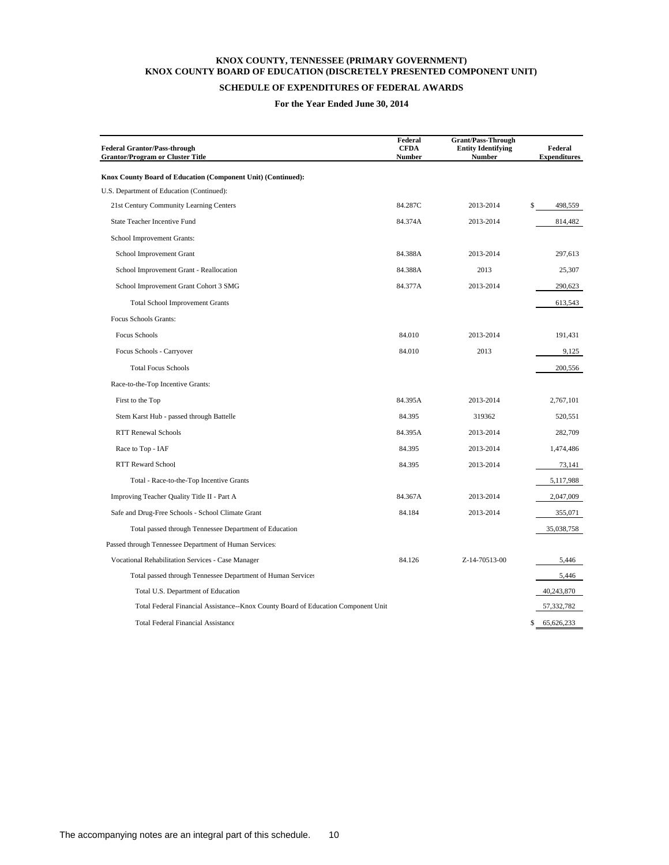#### **SCHEDULE OF EXPENDITURES OF FEDERAL AWARDS**

| <b>Federal Grantor/Pass-through</b><br><b>Grantor/Program or Cluster Title</b>    | Federal<br><b>CFDA</b><br><b>Number</b> | <b>Grant/Pass-Through</b><br><b>Entity Identifying</b><br><b>Number</b> | Federal<br><b>Expenditures</b> |
|-----------------------------------------------------------------------------------|-----------------------------------------|-------------------------------------------------------------------------|--------------------------------|
| Knox County Board of Education (Component Unit) (Continued):                      |                                         |                                                                         |                                |
| U.S. Department of Education (Continued):                                         |                                         |                                                                         |                                |
| 21st Century Community Learning Centers                                           | 84.287C                                 | 2013-2014                                                               | 498,559                        |
| State Teacher Incentive Fund                                                      | 84.374A                                 | 2013-2014                                                               | 814,482                        |
| School Improvement Grants:                                                        |                                         |                                                                         |                                |
| School Improvement Grant                                                          | 84.388A                                 | 2013-2014                                                               | 297,613                        |
| School Improvement Grant - Reallocation                                           | 84.388A                                 | 2013                                                                    | 25,307                         |
| School Improvement Grant Cohort 3 SMG                                             | 84.377A                                 | 2013-2014                                                               | 290,623                        |
| <b>Total School Improvement Grants</b>                                            |                                         |                                                                         | 613,543                        |
| Focus Schools Grants:                                                             |                                         |                                                                         |                                |
| <b>Focus Schools</b>                                                              | 84.010                                  | 2013-2014                                                               | 191,431                        |
| Focus Schools - Carryover                                                         | 84.010                                  | 2013                                                                    | 9,125                          |
| <b>Total Focus Schools</b>                                                        |                                         |                                                                         | 200,556                        |
| Race-to-the-Top Incentive Grants:                                                 |                                         |                                                                         |                                |
| First to the Top                                                                  | 84.395A                                 | 2013-2014                                                               | 2,767,101                      |
| Stem Karst Hub - passed through Battelle                                          | 84.395                                  | 319362                                                                  | 520,551                        |
| <b>RTT Renewal Schools</b>                                                        | 84.395A                                 | 2013-2014                                                               | 282,709                        |
| Race to Top - IAF                                                                 | 84.395                                  | 2013-2014                                                               | 1,474,486                      |
| <b>RTT Reward School</b>                                                          | 84.395                                  | 2013-2014                                                               | 73,141                         |
| Total - Race-to-the-Top Incentive Grants                                          |                                         |                                                                         | 5,117,988                      |
| Improving Teacher Quality Title II - Part A                                       | 84.367A                                 | 2013-2014                                                               | 2,047,009                      |
| Safe and Drug-Free Schools - School Climate Grant                                 | 84.184                                  | 2013-2014                                                               | 355,071                        |
| Total passed through Tennessee Department of Education                            |                                         |                                                                         | 35,038,758                     |
| Passed through Tennessee Department of Human Services:                            |                                         |                                                                         |                                |
| Vocational Rehabilitation Services - Case Manager                                 | 84.126                                  | Z-14-70513-00                                                           | 5,446                          |
| Total passed through Tennessee Department of Human Services                       |                                         |                                                                         | 5,446                          |
| Total U.S. Department of Education                                                |                                         |                                                                         | 40,243,870                     |
| Total Federal Financial Assistance--Knox County Board of Education Component Unit |                                         |                                                                         | 57,332,782                     |
| Total Federal Financial Assistance                                                |                                         |                                                                         | \$<br>65,626,233               |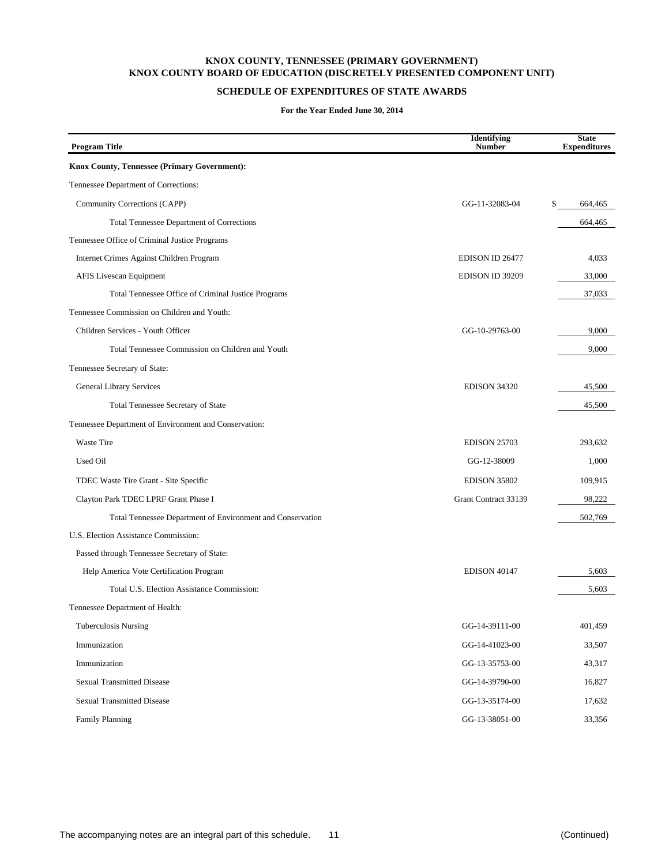#### **KNOX COUNTY, TENNESSEE (PRIMARY GOVERNMENT) KNOX COUNTY BOARD OF EDUCATION (DISCRETELY PRESENTED COMPONENT UNIT)**

## **SCHEDULE OF EXPENDITURES OF STATE AWARDS**

| <b>Program Title</b>                                       | <b>Identifying</b><br><b>Number</b> | <b>State</b><br><b>Expenditures</b> |
|------------------------------------------------------------|-------------------------------------|-------------------------------------|
| Knox County, Tennessee (Primary Government):               |                                     |                                     |
| Tennessee Department of Corrections:                       |                                     |                                     |
| Community Corrections (CAPP)                               | GG-11-32083-04                      | \$<br>664,465                       |
| <b>Total Tennessee Department of Corrections</b>           |                                     | 664,465                             |
| Tennessee Office of Criminal Justice Programs              |                                     |                                     |
| Internet Crimes Against Children Program                   | EDISON ID 26477                     | 4,033                               |
| <b>AFIS Livescan Equipment</b>                             | EDISON ID 39209                     | 33,000                              |
| Total Tennessee Office of Criminal Justice Programs        |                                     | 37,033                              |
| Tennessee Commission on Children and Youth:                |                                     |                                     |
| Children Services - Youth Officer                          | GG-10-29763-00                      | 9,000                               |
| Total Tennessee Commission on Children and Youth           |                                     | 9,000                               |
| Tennessee Secretary of State:                              |                                     |                                     |
| <b>General Library Services</b>                            | <b>EDISON 34320</b>                 | 45,500                              |
| Total Tennessee Secretary of State                         |                                     | 45,500                              |
| Tennessee Department of Environment and Conservation:      |                                     |                                     |
| <b>Waste Tire</b>                                          | <b>EDISON 25703</b>                 | 293,632                             |
| Used Oil                                                   | GG-12-38009                         | 1,000                               |
| TDEC Waste Tire Grant - Site Specific                      | EDISON 35802                        | 109,915                             |
| Clayton Park TDEC LPRF Grant Phase I                       | Grant Contract 33139                | 98,222                              |
| Total Tennessee Department of Environment and Conservation |                                     | 502,769                             |
| U.S. Election Assistance Commission:                       |                                     |                                     |
| Passed through Tennessee Secretary of State:               |                                     |                                     |
| Help America Vote Certification Program                    | <b>EDISON 40147</b>                 | 5,603                               |
| Total U.S. Election Assistance Commission:                 |                                     | 5,603                               |
| Tennessee Department of Health:                            |                                     |                                     |
| <b>Tuberculosis Nursing</b>                                | GG-14-39111-00                      | 401,459                             |
| Immunization                                               | GG-14-41023-00                      | 33,507                              |
| Immunization                                               | GG-13-35753-00                      | 43,317                              |
| <b>Sexual Transmitted Disease</b>                          | GG-14-39790-00                      | 16,827                              |
| <b>Sexual Transmitted Disease</b>                          | GG-13-35174-00                      | 17,632                              |
| <b>Family Planning</b>                                     | GG-13-38051-00                      | 33,356                              |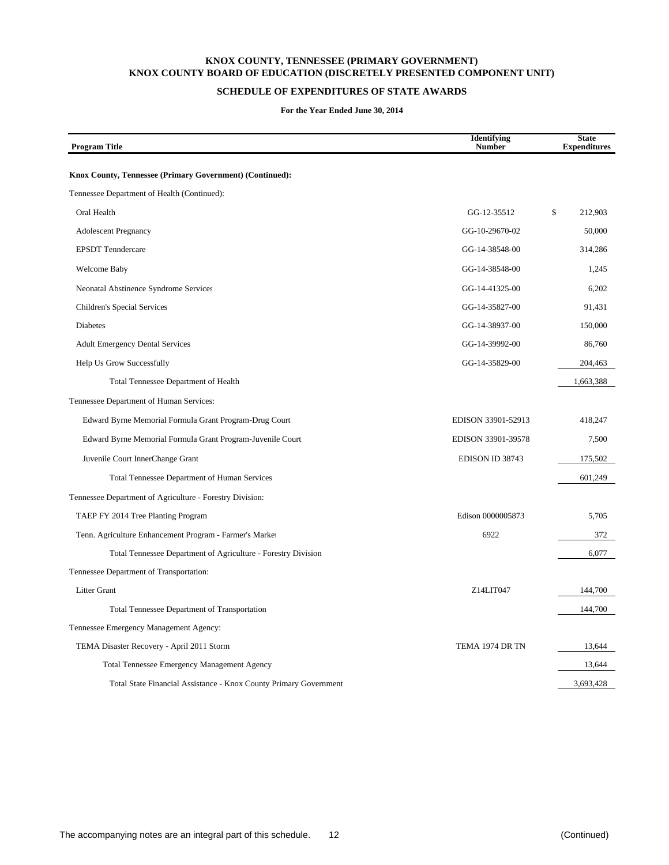## **KNOX COUNTY, TENNESSEE (PRIMARY GOVERNMENT) KNOX COUNTY BOARD OF EDUCATION (DISCRETELY PRESENTED COMPONENT UNIT)**

## **SCHEDULE OF EXPENDITURES OF STATE AWARDS**

| <b>Program Title</b>                                              | <b>Identifying</b><br><b>Number</b> | <b>State</b><br><b>Expenditures</b> |  |
|-------------------------------------------------------------------|-------------------------------------|-------------------------------------|--|
|                                                                   |                                     |                                     |  |
| Knox County, Tennessee (Primary Government) (Continued):          |                                     |                                     |  |
| Tennessee Department of Health (Continued):                       |                                     |                                     |  |
| Oral Health                                                       | GG-12-35512                         | $\mathbb{S}$<br>212,903             |  |
| <b>Adolescent Pregnancy</b>                                       | GG-10-29670-02                      | 50,000                              |  |
| <b>EPSDT</b> Tenndercare                                          | GG-14-38548-00                      | 314,286                             |  |
| <b>Welcome Baby</b>                                               | GG-14-38548-00                      | 1,245                               |  |
| Neonatal Abstinence Syndrome Services                             | GG-14-41325-00                      | 6,202                               |  |
| Children's Special Services                                       | GG-14-35827-00                      | 91,431                              |  |
| <b>Diabetes</b>                                                   | GG-14-38937-00                      | 150,000                             |  |
| <b>Adult Emergency Dental Services</b>                            | GG-14-39992-00                      | 86,760                              |  |
| Help Us Grow Successfully                                         | GG-14-35829-00                      | 204,463                             |  |
| Total Tennessee Department of Health                              |                                     | 1,663,388                           |  |
| Tennessee Department of Human Services:                           |                                     |                                     |  |
| Edward Byrne Memorial Formula Grant Program-Drug Court            | EDISON 33901-52913                  | 418,247                             |  |
| Edward Byrne Memorial Formula Grant Program-Juvenile Court        | EDISON 33901-39578                  | 7,500                               |  |
| Juvenile Court InnerChange Grant                                  | EDISON ID 38743                     | 175,502                             |  |
| Total Tennessee Department of Human Services                      |                                     | 601,249                             |  |
| Tennessee Department of Agriculture - Forestry Division:          |                                     |                                     |  |
| TAEP FY 2014 Tree Planting Program                                | Edison 0000005873                   | 5,705                               |  |
| Tenn. Agriculture Enhancement Program - Farmer's Market           | 6922                                | 372                                 |  |
| Total Tennessee Department of Agriculture - Forestry Division     |                                     | 6,077                               |  |
| Tennessee Department of Transportation:                           |                                     |                                     |  |
| Litter Grant                                                      | Z14LIT047                           | 144,700                             |  |
| Total Tennessee Department of Transportation                      |                                     | 144,700                             |  |
| Tennessee Emergency Management Agency:                            |                                     |                                     |  |
| TEMA Disaster Recovery - April 2011 Storm                         | TEMA 1974 DR TN                     | 13,644                              |  |
| Total Tennessee Emergency Management Agency                       |                                     | 13,644                              |  |
| Total State Financial Assistance - Knox County Primary Government |                                     | 3,693,428                           |  |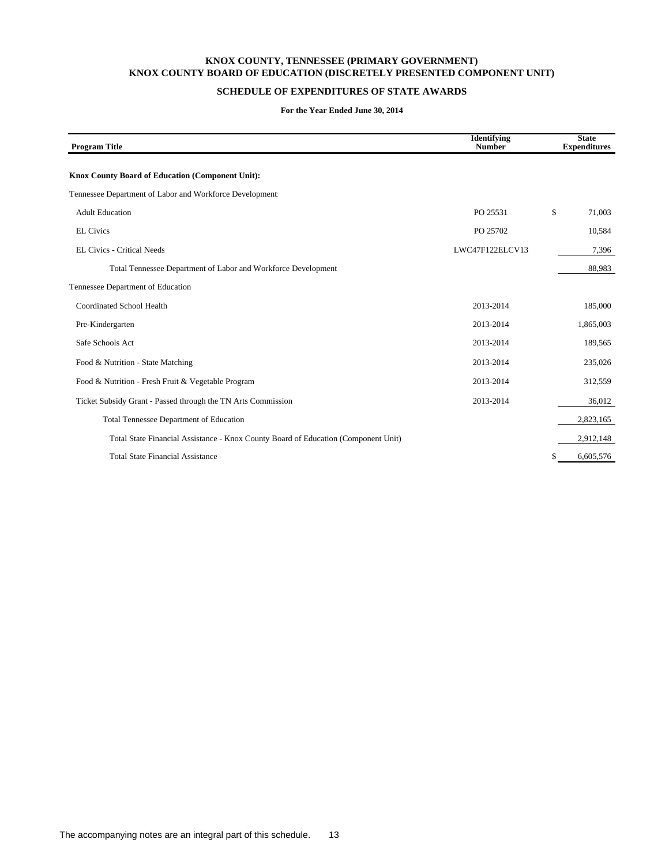#### **KNOX COUNTY, TENNESSEE (PRIMARY GOVERNMENT) KNOX COUNTY BOARD OF EDUCATION (DISCRETELY PRESENTED COMPONENT UNIT)**

## **SCHEDULE OF EXPENDITURES OF STATE AWARDS**

| <b>Program Title</b>                                                               | <b>Identifying</b><br><b>Number</b> | <b>State</b><br><b>Expenditures</b> |
|------------------------------------------------------------------------------------|-------------------------------------|-------------------------------------|
| <b>Knox County Board of Education (Component Unit):</b>                            |                                     |                                     |
| Tennessee Department of Labor and Workforce Development:                           |                                     |                                     |
| <b>Adult Education</b>                                                             | PO 25531                            | \$<br>71,003                        |
| <b>EL Civics</b>                                                                   | PO 25702                            | 10,584                              |
| EL Civics - Critical Needs                                                         | LWC47F122ELCV13                     | 7,396                               |
| Total Tennessee Department of Labor and Workforce Development                      |                                     | 88,983                              |
| Tennessee Department of Education                                                  |                                     |                                     |
| Coordinated School Health                                                          | 2013-2014                           | 185,000                             |
| Pre-Kindergarten                                                                   | 2013-2014                           | 1,865,003                           |
| Safe Schools Act                                                                   | 2013-2014                           | 189,565                             |
| Food & Nutrition - State Matching                                                  | 2013-2014                           | 235,026                             |
| Food & Nutrition - Fresh Fruit & Vegetable Program                                 | 2013-2014                           | 312,559                             |
| Ticket Subsidy Grant - Passed through the TN Arts Commission                       | 2013-2014                           | 36,012                              |
| Total Tennessee Department of Education                                            |                                     | 2,823,165                           |
| Total State Financial Assistance - Knox County Board of Education (Component Unit) |                                     | 2,912,148                           |
| <b>Total State Financial Assistance</b>                                            |                                     | \$<br>6,605,576                     |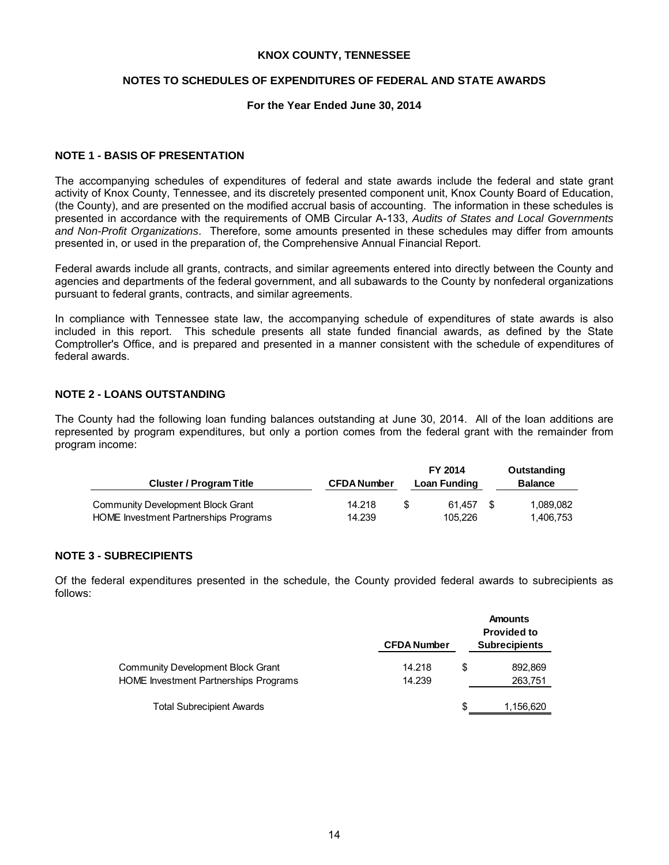## **NOTES TO SCHEDULES OF EXPENDITURES OF FEDERAL AND STATE AWARDS**

## **For the Year Ended June 30, 2014**

## **NOTE 1 - BASIS OF PRESENTATION**

The accompanying schedules of expenditures of federal and state awards include the federal and state grant activity of Knox County, Tennessee, and its discretely presented component unit, Knox County Board of Education, (the County), and are presented on the modified accrual basis of accounting. The information in these schedules is presented in accordance with the requirements of OMB Circular A-133, *Audits of States and Local Governments and Non-Profit Organizations*. Therefore, some amounts presented in these schedules may differ from amounts presented in, or used in the preparation of, the Comprehensive Annual Financial Report.

Federal awards include all grants, contracts, and similar agreements entered into directly between the County and agencies and departments of the federal government, and all subawards to the County by nonfederal organizations pursuant to federal grants, contracts, and similar agreements.

In compliance with Tennessee state law, the accompanying schedule of expenditures of state awards is also included in this report. This schedule presents all state funded financial awards, as defined by the State Comptroller's Office, and is prepared and presented in a manner consistent with the schedule of expenditures of federal awards.

## **NOTE 2 - LOANS OUTSTANDING**

The County had the following loan funding balances outstanding at June 30, 2014. All of the loan additions are represented by program expenditures, but only a portion comes from the federal grant with the remainder from program income:

| <b>Cluster / Program Title</b>                                             | <b>CFDA Number</b> | FY 2014<br>Loan Funding |      | Outstanding<br><b>Balance</b> |
|----------------------------------------------------------------------------|--------------------|-------------------------|------|-------------------------------|
| Community Development Block Grant<br>HOME Investment Partnerships Programs | 14.218<br>14.239   | 61.457<br>105.226       | - \$ | 1.089.082<br>1.406.753        |

## **NOTE 3 - SUBRECIPIENTS**

Of the federal expenditures presented in the schedule, the County provided federal awards to subrecipients as follows:

|                                              | <b>CFDA Number</b> |    | Amounts<br><b>Provided to</b><br><b>Subrecipients</b> |
|----------------------------------------------|--------------------|----|-------------------------------------------------------|
| Community Development Block Grant            | 14.218             | \$ | 892.869                                               |
| <b>HOME Investment Partnerships Programs</b> | 14.239             |    | 263,751                                               |
| <b>Total Subrecipient Awards</b>             |                    | S  | 1,156,620                                             |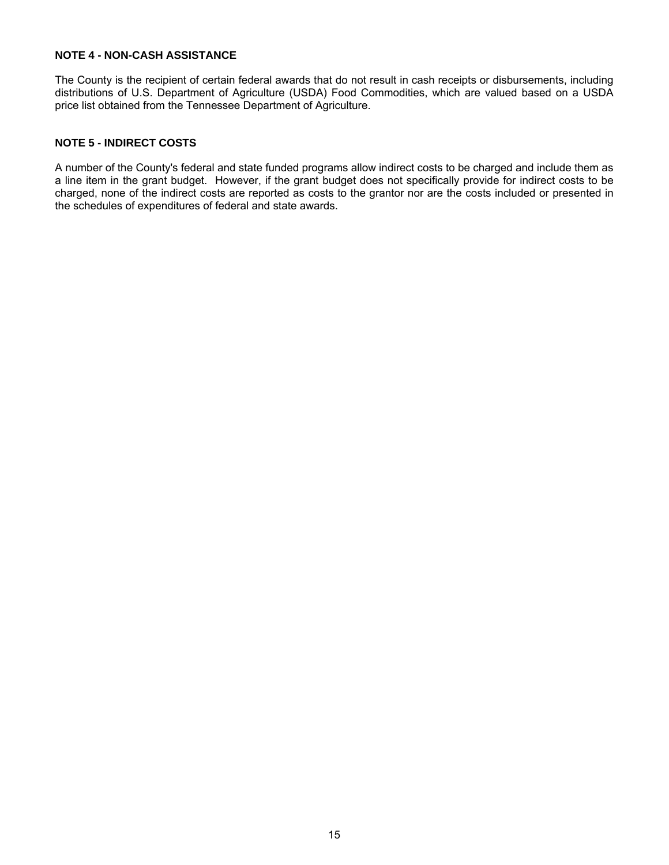## **NOTE 4 - NON-CASH ASSISTANCE**

The County is the recipient of certain federal awards that do not result in cash receipts or disbursements, including distributions of U.S. Department of Agriculture (USDA) Food Commodities, which are valued based on a USDA price list obtained from the Tennessee Department of Agriculture.

## **NOTE 5 - INDIRECT COSTS**

A number of the County's federal and state funded programs allow indirect costs to be charged and include them as a line item in the grant budget. However, if the grant budget does not specifically provide for indirect costs to be charged, none of the indirect costs are reported as costs to the grantor nor are the costs included or presented in the schedules of expenditures of federal and state awards.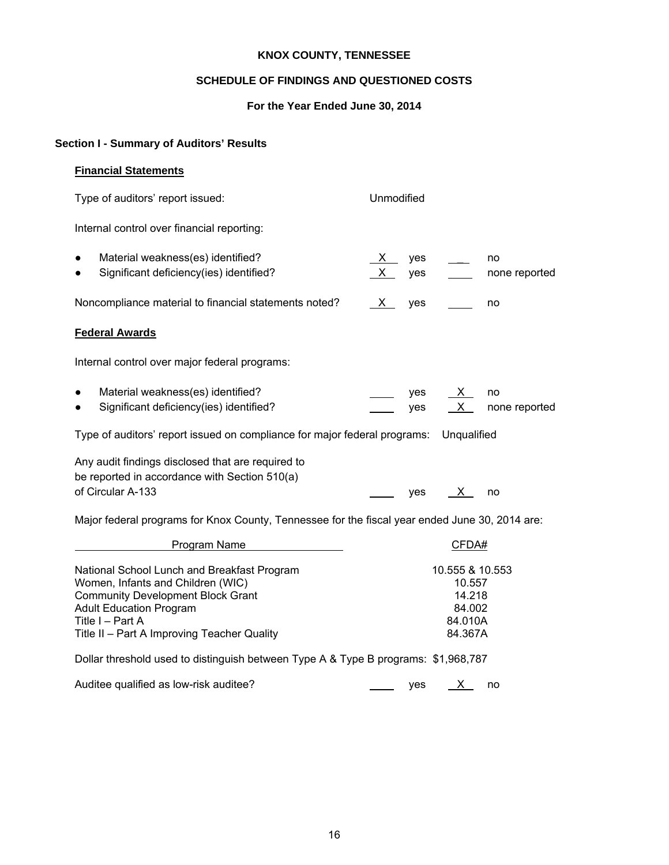## **SCHEDULE OF FINDINGS AND QUESTIONED COSTS**

## **For the Year Ended June 30, 2014**

## **Section I - Summary of Auditors' Results**

## **Financial Statements**

Type of auditors' report issued: Unmodified

Internal control over financial reporting:

| $\bullet$ | Material weakness(es) identified?<br>• Significant deficiency(ies) identified? | $\mathbf{X}$<br>$\mathsf{X}$ | ves<br>ves | no<br>none reported |
|-----------|--------------------------------------------------------------------------------|------------------------------|------------|---------------------|
|           | Noncompliance material to financial statements noted?                          |                              | ves        | no                  |

## **Federal Awards**

Internal control over major federal programs:

| Material weakness(es) identified?       | ves | $\mathsf{X}$ | no            |
|-----------------------------------------|-----|--------------|---------------|
| Significant deficiency(ies) identified? | ves | $\mathsf{X}$ | none reported |

Type of auditors' report issued on compliance for major federal programs: Unqualified

Any audit findings disclosed that are required to be reported in accordance with Section 510(a) of Circular A-133 yes X no

Major federal programs for Knox County, Tennessee for the fiscal year ended June 30, 2014 are:

| Program Name                                                                       | CFDA#           |
|------------------------------------------------------------------------------------|-----------------|
| National School Lunch and Breakfast Program                                        | 10.555 & 10.553 |
| Women, Infants and Children (WIC)                                                  | 10.557          |
| <b>Community Development Block Grant</b>                                           | 14.218          |
| <b>Adult Education Program</b>                                                     | 84.002          |
| Title I - Part A                                                                   | 84.010A         |
| Title II – Part A Improving Teacher Quality                                        | 84.367A         |
| Dollar threshold used to distinguish between Type A & Type B programs: \$1,968,787 |                 |
| Auditee qualified as low-risk auditee?                                             | ves<br>no       |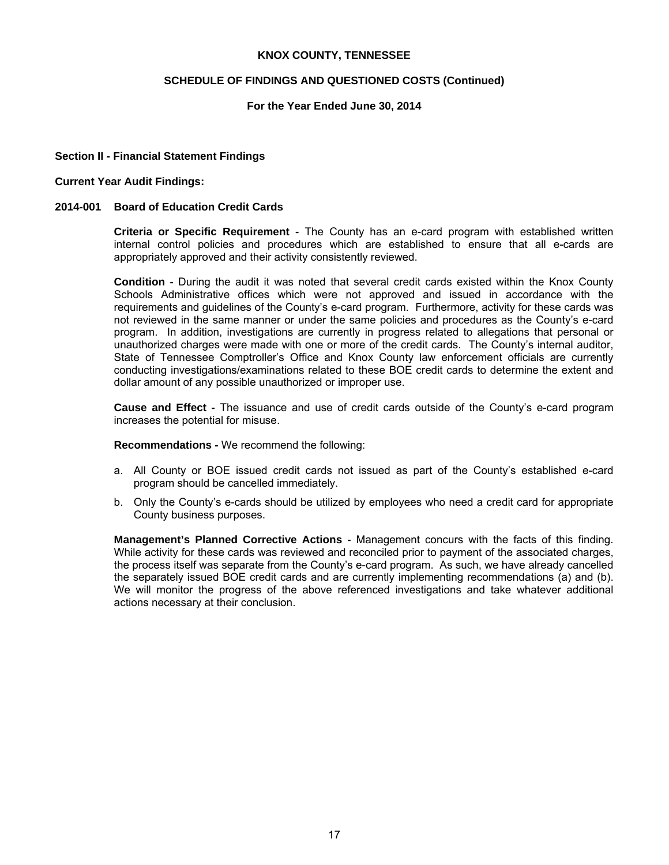## **SCHEDULE OF FINDINGS AND QUESTIONED COSTS (Continued)**

## **For the Year Ended June 30, 2014**

## **Section II - Financial Statement Findings**

## **Current Year Audit Findings:**

## **2014-001 Board of Education Credit Cards**

**Criteria or Specific Requirement -** The County has an e-card program with established written internal control policies and procedures which are established to ensure that all e-cards are appropriately approved and their activity consistently reviewed.

**Condition -** During the audit it was noted that several credit cards existed within the Knox County Schools Administrative offices which were not approved and issued in accordance with the requirements and guidelines of the County's e-card program. Furthermore, activity for these cards was not reviewed in the same manner or under the same policies and procedures as the County's e-card program. In addition, investigations are currently in progress related to allegations that personal or unauthorized charges were made with one or more of the credit cards. The County's internal auditor, State of Tennessee Comptroller's Office and Knox County law enforcement officials are currently conducting investigations/examinations related to these BOE credit cards to determine the extent and dollar amount of any possible unauthorized or improper use.

**Cause and Effect -** The issuance and use of credit cards outside of the County's e-card program increases the potential for misuse.

**Recommendations -** We recommend the following:

- a. All County or BOE issued credit cards not issued as part of the County's established e-card program should be cancelled immediately.
- b. Only the County's e-cards should be utilized by employees who need a credit card for appropriate County business purposes.

**Management's Planned Corrective Actions -** Management concurs with the facts of this finding. While activity for these cards was reviewed and reconciled prior to payment of the associated charges, the process itself was separate from the County's e-card program. As such, we have already cancelled the separately issued BOE credit cards and are currently implementing recommendations (a) and (b). We will monitor the progress of the above referenced investigations and take whatever additional actions necessary at their conclusion.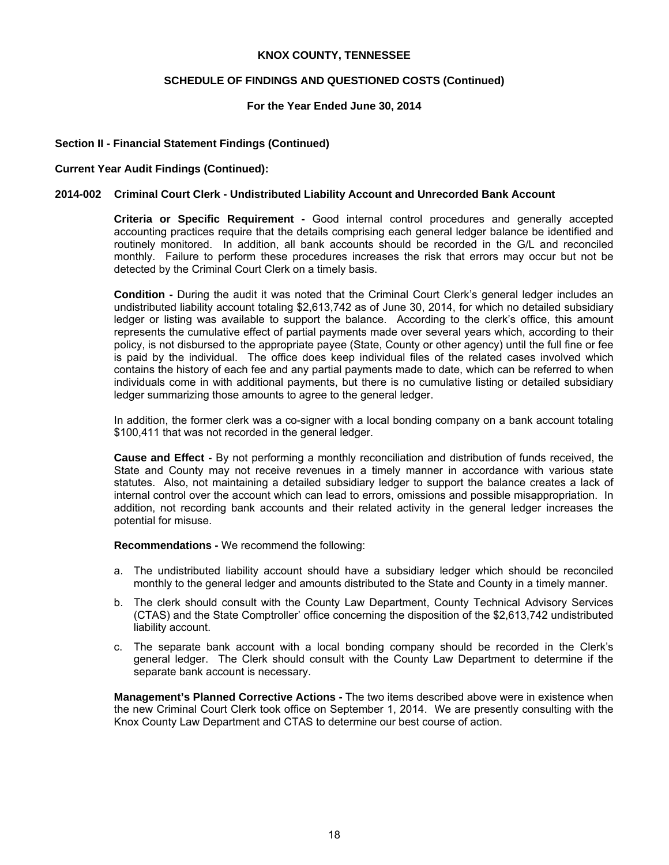## **SCHEDULE OF FINDINGS AND QUESTIONED COSTS (Continued)**

## **For the Year Ended June 30, 2014**

## **Section II - Financial Statement Findings (Continued)**

## **Current Year Audit Findings (Continued):**

## **2014-002 Criminal Court Clerk - Undistributed Liability Account and Unrecorded Bank Account**

**Criteria or Specific Requirement -** Good internal control procedures and generally accepted accounting practices require that the details comprising each general ledger balance be identified and routinely monitored. In addition, all bank accounts should be recorded in the G/L and reconciled monthly. Failure to perform these procedures increases the risk that errors may occur but not be detected by the Criminal Court Clerk on a timely basis.

**Condition -** During the audit it was noted that the Criminal Court Clerk's general ledger includes an undistributed liability account totaling \$2,613,742 as of June 30, 2014, for which no detailed subsidiary ledger or listing was available to support the balance. According to the clerk's office, this amount represents the cumulative effect of partial payments made over several years which, according to their policy, is not disbursed to the appropriate payee (State, County or other agency) until the full fine or fee is paid by the individual. The office does keep individual files of the related cases involved which contains the history of each fee and any partial payments made to date, which can be referred to when individuals come in with additional payments, but there is no cumulative listing or detailed subsidiary ledger summarizing those amounts to agree to the general ledger.

In addition, the former clerk was a co-signer with a local bonding company on a bank account totaling \$100,411 that was not recorded in the general ledger.

**Cause and Effect -** By not performing a monthly reconciliation and distribution of funds received, the State and County may not receive revenues in a timely manner in accordance with various state statutes. Also, not maintaining a detailed subsidiary ledger to support the balance creates a lack of internal control over the account which can lead to errors, omissions and possible misappropriation. In addition, not recording bank accounts and their related activity in the general ledger increases the potential for misuse.

**Recommendations -** We recommend the following:

- a. The undistributed liability account should have a subsidiary ledger which should be reconciled monthly to the general ledger and amounts distributed to the State and County in a timely manner.
- b. The clerk should consult with the County Law Department, County Technical Advisory Services (CTAS) and the State Comptroller' office concerning the disposition of the \$2,613,742 undistributed liability account.
- c. The separate bank account with a local bonding company should be recorded in the Clerk's general ledger. The Clerk should consult with the County Law Department to determine if the separate bank account is necessary.

**Management's Planned Corrective Actions -** The two items described above were in existence when the new Criminal Court Clerk took office on September 1, 2014. We are presently consulting with the Knox County Law Department and CTAS to determine our best course of action.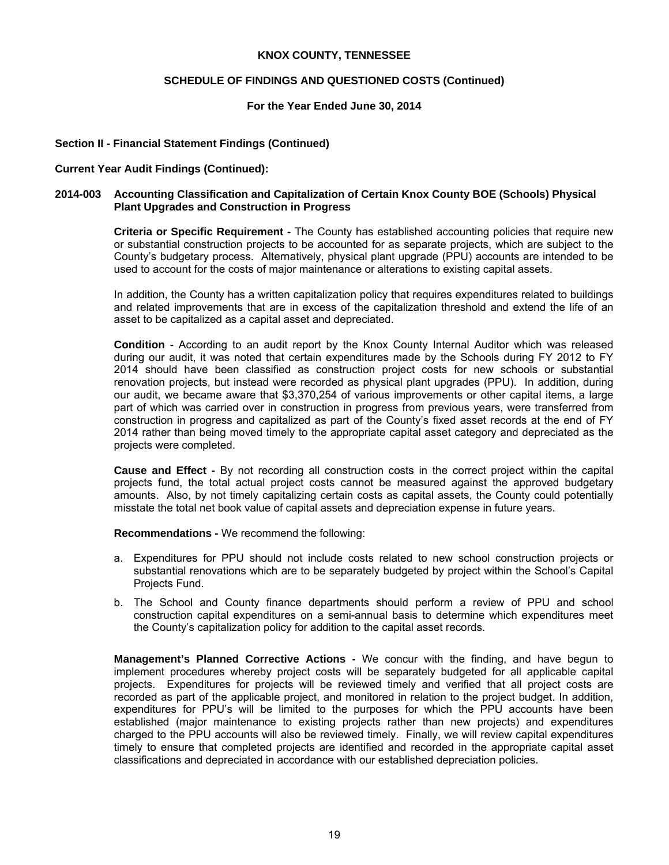## **SCHEDULE OF FINDINGS AND QUESTIONED COSTS (Continued)**

## **For the Year Ended June 30, 2014**

## **Section II - Financial Statement Findings (Continued)**

## **Current Year Audit Findings (Continued):**

## **2014-003 Accounting Classification and Capitalization of Certain Knox County BOE (Schools) Physical Plant Upgrades and Construction in Progress**

**Criteria or Specific Requirement -** The County has established accounting policies that require new or substantial construction projects to be accounted for as separate projects, which are subject to the County's budgetary process. Alternatively, physical plant upgrade (PPU) accounts are intended to be used to account for the costs of major maintenance or alterations to existing capital assets.

In addition, the County has a written capitalization policy that requires expenditures related to buildings and related improvements that are in excess of the capitalization threshold and extend the life of an asset to be capitalized as a capital asset and depreciated.

**Condition -** According to an audit report by the Knox County Internal Auditor which was released during our audit, it was noted that certain expenditures made by the Schools during FY 2012 to FY 2014 should have been classified as construction project costs for new schools or substantial renovation projects, but instead were recorded as physical plant upgrades (PPU). In addition, during our audit, we became aware that \$3,370,254 of various improvements or other capital items, a large part of which was carried over in construction in progress from previous years, were transferred from construction in progress and capitalized as part of the County's fixed asset records at the end of FY 2014 rather than being moved timely to the appropriate capital asset category and depreciated as the projects were completed.

**Cause and Effect -** By not recording all construction costs in the correct project within the capital projects fund, the total actual project costs cannot be measured against the approved budgetary amounts. Also, by not timely capitalizing certain costs as capital assets, the County could potentially misstate the total net book value of capital assets and depreciation expense in future years.

**Recommendations -** We recommend the following:

- a. Expenditures for PPU should not include costs related to new school construction projects or substantial renovations which are to be separately budgeted by project within the School's Capital Projects Fund.
- b. The School and County finance departments should perform a review of PPU and school construction capital expenditures on a semi-annual basis to determine which expenditures meet the County's capitalization policy for addition to the capital asset records.

**Management's Planned Corrective Actions -** We concur with the finding, and have begun to implement procedures whereby project costs will be separately budgeted for all applicable capital projects. Expenditures for projects will be reviewed timely and verified that all project costs are recorded as part of the applicable project, and monitored in relation to the project budget. In addition, expenditures for PPU's will be limited to the purposes for which the PPU accounts have been established (major maintenance to existing projects rather than new projects) and expenditures charged to the PPU accounts will also be reviewed timely. Finally, we will review capital expenditures timely to ensure that completed projects are identified and recorded in the appropriate capital asset classifications and depreciated in accordance with our established depreciation policies.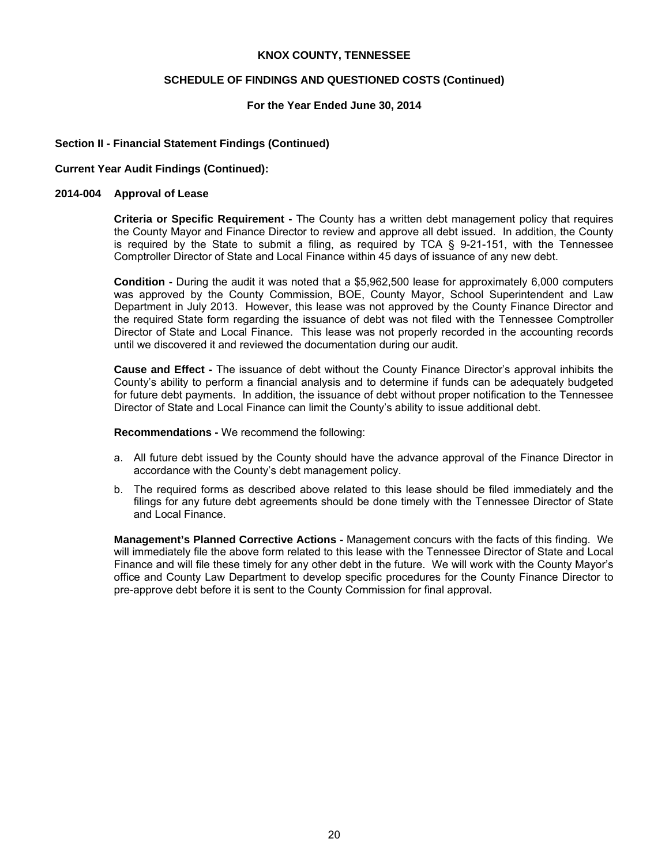## **SCHEDULE OF FINDINGS AND QUESTIONED COSTS (Continued)**

## **For the Year Ended June 30, 2014**

## **Section II - Financial Statement Findings (Continued)**

## **Current Year Audit Findings (Continued):**

### **2014-004 Approval of Lease**

**Criteria or Specific Requirement -** The County has a written debt management policy that requires the County Mayor and Finance Director to review and approve all debt issued. In addition, the County is required by the State to submit a filing, as required by TCA  $\S$  9-21-151, with the Tennessee Comptroller Director of State and Local Finance within 45 days of issuance of any new debt.

**Condition -** During the audit it was noted that a \$5,962,500 lease for approximately 6,000 computers was approved by the County Commission, BOE, County Mayor, School Superintendent and Law Department in July 2013. However, this lease was not approved by the County Finance Director and the required State form regarding the issuance of debt was not filed with the Tennessee Comptroller Director of State and Local Finance. This lease was not properly recorded in the accounting records until we discovered it and reviewed the documentation during our audit.

**Cause and Effect -** The issuance of debt without the County Finance Director's approval inhibits the County's ability to perform a financial analysis and to determine if funds can be adequately budgeted for future debt payments. In addition, the issuance of debt without proper notification to the Tennessee Director of State and Local Finance can limit the County's ability to issue additional debt.

**Recommendations -** We recommend the following:

- a. All future debt issued by the County should have the advance approval of the Finance Director in accordance with the County's debt management policy.
- b. The required forms as described above related to this lease should be filed immediately and the filings for any future debt agreements should be done timely with the Tennessee Director of State and Local Finance.

**Management's Planned Corrective Actions -** Management concurs with the facts of this finding. We will immediately file the above form related to this lease with the Tennessee Director of State and Local Finance and will file these timely for any other debt in the future. We will work with the County Mayor's office and County Law Department to develop specific procedures for the County Finance Director to pre-approve debt before it is sent to the County Commission for final approval.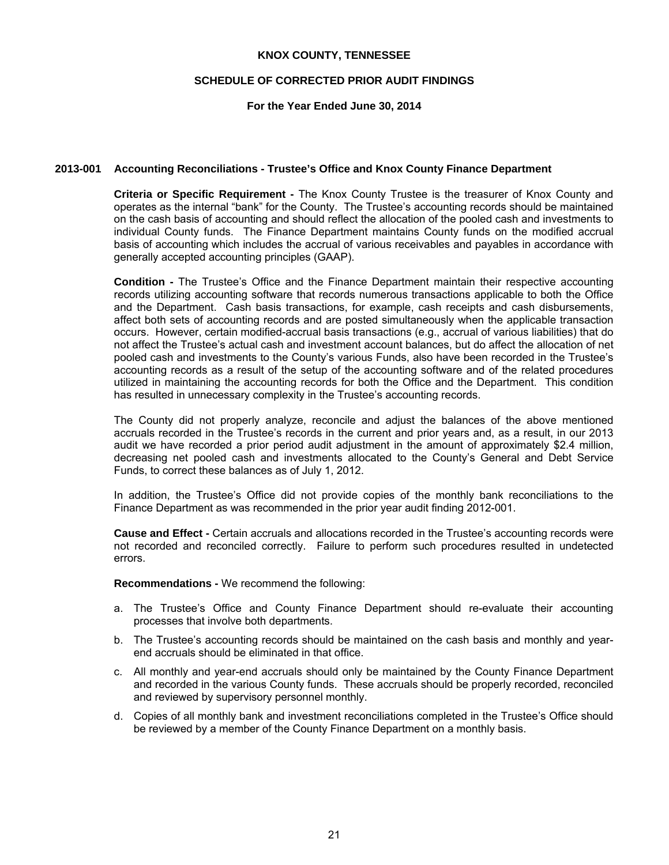### **SCHEDULE OF CORRECTED PRIOR AUDIT FINDINGS**

### **For the Year Ended June 30, 2014**

### **2013-001 Accounting Reconciliations - Trustee's Office and Knox County Finance Department**

**Criteria or Specific Requirement -** The Knox County Trustee is the treasurer of Knox County and operates as the internal "bank" for the County. The Trustee's accounting records should be maintained on the cash basis of accounting and should reflect the allocation of the pooled cash and investments to individual County funds. The Finance Department maintains County funds on the modified accrual basis of accounting which includes the accrual of various receivables and payables in accordance with generally accepted accounting principles (GAAP).

**Condition -** The Trustee's Office and the Finance Department maintain their respective accounting records utilizing accounting software that records numerous transactions applicable to both the Office and the Department. Cash basis transactions, for example, cash receipts and cash disbursements, affect both sets of accounting records and are posted simultaneously when the applicable transaction occurs. However, certain modified-accrual basis transactions (e.g., accrual of various liabilities) that do not affect the Trustee's actual cash and investment account balances, but do affect the allocation of net pooled cash and investments to the County's various Funds, also have been recorded in the Trustee's accounting records as a result of the setup of the accounting software and of the related procedures utilized in maintaining the accounting records for both the Office and the Department. This condition has resulted in unnecessary complexity in the Trustee's accounting records.

The County did not properly analyze, reconcile and adjust the balances of the above mentioned accruals recorded in the Trustee's records in the current and prior years and, as a result, in our 2013 audit we have recorded a prior period audit adjustment in the amount of approximately \$2.4 million, decreasing net pooled cash and investments allocated to the County's General and Debt Service Funds, to correct these balances as of July 1, 2012.

In addition, the Trustee's Office did not provide copies of the monthly bank reconciliations to the Finance Department as was recommended in the prior year audit finding 2012-001.

**Cause and Effect -** Certain accruals and allocations recorded in the Trustee's accounting records were not recorded and reconciled correctly. Failure to perform such procedures resulted in undetected errors.

**Recommendations -** We recommend the following:

- a. The Trustee's Office and County Finance Department should re-evaluate their accounting processes that involve both departments.
- b. The Trustee's accounting records should be maintained on the cash basis and monthly and yearend accruals should be eliminated in that office.
- c. All monthly and year-end accruals should only be maintained by the County Finance Department and recorded in the various County funds. These accruals should be properly recorded, reconciled and reviewed by supervisory personnel monthly.
- d. Copies of all monthly bank and investment reconciliations completed in the Trustee's Office should be reviewed by a member of the County Finance Department on a monthly basis.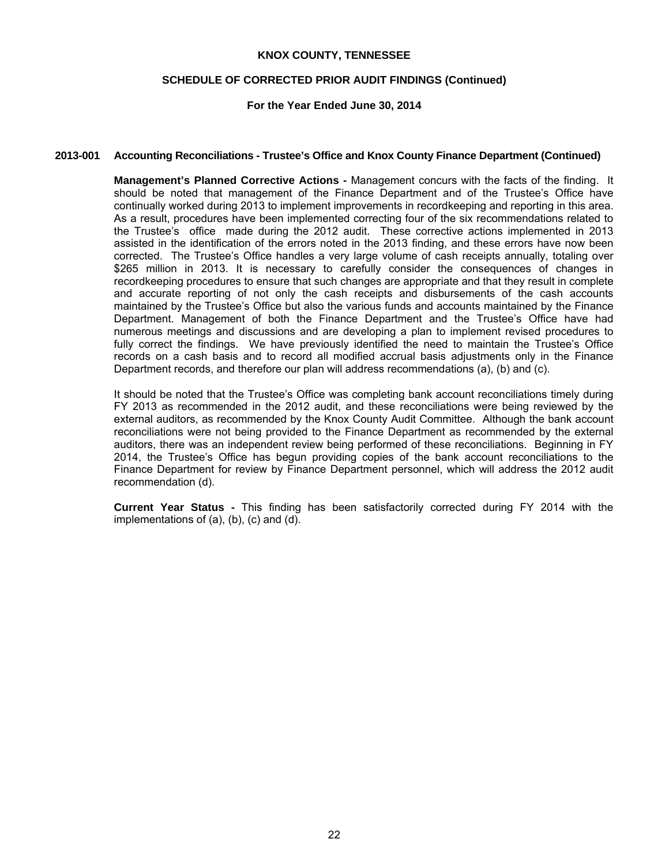## **SCHEDULE OF CORRECTED PRIOR AUDIT FINDINGS (Continued)**

## **For the Year Ended June 30, 2014**

## **2013-001 Accounting Reconciliations - Trustee's Office and Knox County Finance Department (Continued)**

**Management's Planned Corrective Actions -** Management concurs with the facts of the finding. It should be noted that management of the Finance Department and of the Trustee's Office have continually worked during 2013 to implement improvements in recordkeeping and reporting in this area. As a result, procedures have been implemented correcting four of the six recommendations related to the Trustee's office made during the 2012 audit. These corrective actions implemented in 2013 assisted in the identification of the errors noted in the 2013 finding, and these errors have now been corrected. The Trustee's Office handles a very large volume of cash receipts annually, totaling over \$265 million in 2013. It is necessary to carefully consider the consequences of changes in recordkeeping procedures to ensure that such changes are appropriate and that they result in complete and accurate reporting of not only the cash receipts and disbursements of the cash accounts maintained by the Trustee's Office but also the various funds and accounts maintained by the Finance Department. Management of both the Finance Department and the Trustee's Office have had numerous meetings and discussions and are developing a plan to implement revised procedures to fully correct the findings. We have previously identified the need to maintain the Trustee's Office records on a cash basis and to record all modified accrual basis adjustments only in the Finance Department records, and therefore our plan will address recommendations (a), (b) and (c).

It should be noted that the Trustee's Office was completing bank account reconciliations timely during FY 2013 as recommended in the 2012 audit, and these reconciliations were being reviewed by the external auditors, as recommended by the Knox County Audit Committee. Although the bank account reconciliations were not being provided to the Finance Department as recommended by the external auditors, there was an independent review being performed of these reconciliations. Beginning in FY 2014, the Trustee's Office has begun providing copies of the bank account reconciliations to the Finance Department for review by Finance Department personnel, which will address the 2012 audit recommendation (d).

**Current Year Status -** This finding has been satisfactorily corrected during FY 2014 with the implementations of (a), (b), (c) and (d).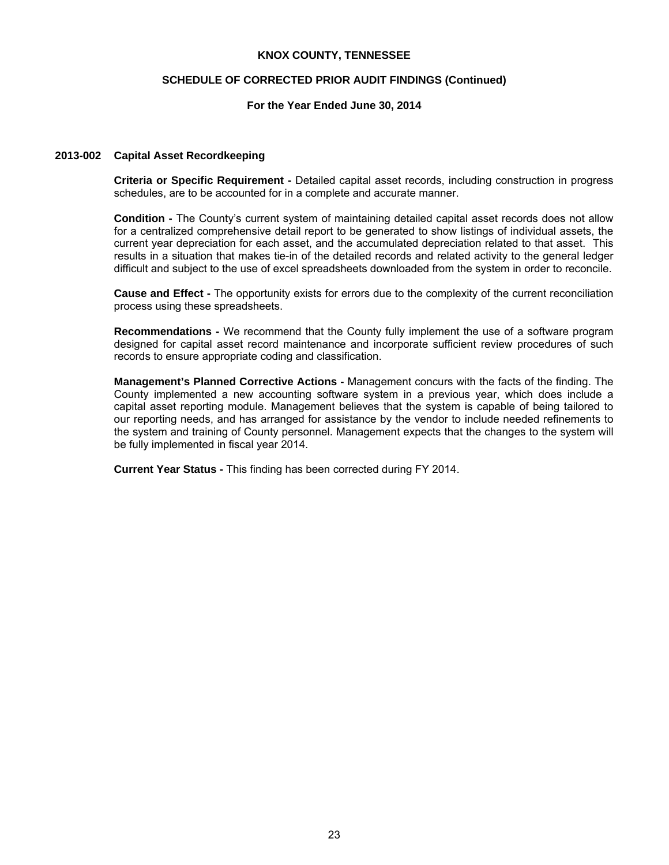### **SCHEDULE OF CORRECTED PRIOR AUDIT FINDINGS (Continued)**

### **For the Year Ended June 30, 2014**

#### **2013-002 Capital Asset Recordkeeping**

**Criteria or Specific Requirement -** Detailed capital asset records, including construction in progress schedules, are to be accounted for in a complete and accurate manner.

**Condition -** The County's current system of maintaining detailed capital asset records does not allow for a centralized comprehensive detail report to be generated to show listings of individual assets, the current year depreciation for each asset, and the accumulated depreciation related to that asset. This results in a situation that makes tie-in of the detailed records and related activity to the general ledger difficult and subject to the use of excel spreadsheets downloaded from the system in order to reconcile.

**Cause and Effect -** The opportunity exists for errors due to the complexity of the current reconciliation process using these spreadsheets.

**Recommendations -** We recommend that the County fully implement the use of a software program designed for capital asset record maintenance and incorporate sufficient review procedures of such records to ensure appropriate coding and classification.

**Management's Planned Corrective Actions -** Management concurs with the facts of the finding. The County implemented a new accounting software system in a previous year, which does include a capital asset reporting module. Management believes that the system is capable of being tailored to our reporting needs, and has arranged for assistance by the vendor to include needed refinements to the system and training of County personnel. Management expects that the changes to the system will be fully implemented in fiscal year 2014.

**Current Year Status -** This finding has been corrected during FY 2014.